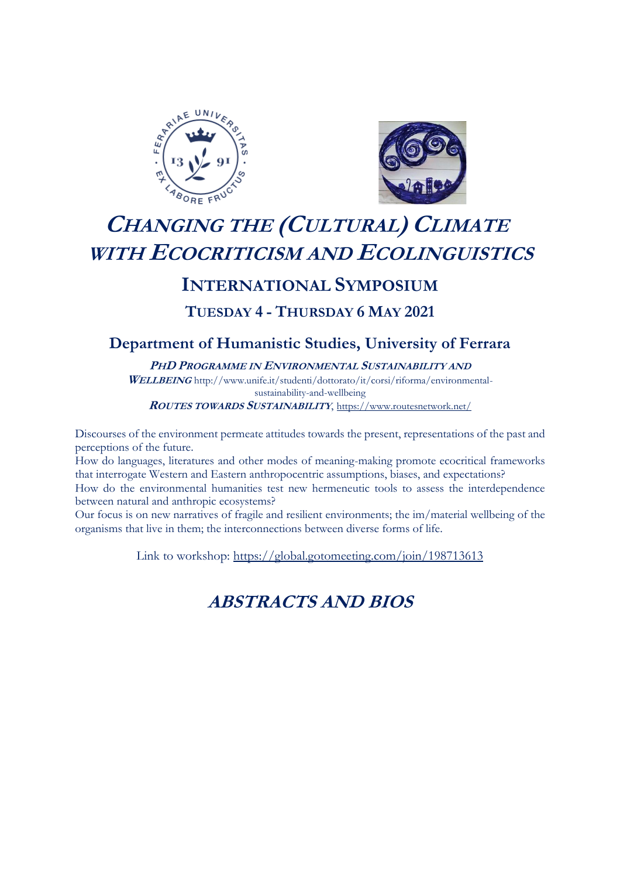



# **CHANGING THE (CULTURAL) CLIMATE WITH ECOCRITICISM AND ECOLINGUISTICS**

# **INTERNATIONAL SYMPOSIUM**

# **TUESDAY 4 - THURSDAY 6 MAY 2021**

# **Department of Humanistic Studies, University of Ferrara**

**PHD PROGRAMME IN ENVIRONMENTAL SUSTAINABILITY AND** 

**WELLBEING** http://www.unife.it/studenti/dottorato/it/corsi/riforma/environmentalsustainability-and-wellbeing

**<sup>R</sup>OUTES TOWARDS SUSTAINABILITY**, <https://www.routesnetwork.net/>

Discourses of the environment permeate attitudes towards the present, representations of the past and perceptions of the future.

How do languages, literatures and other modes of meaning-making promote ecocritical frameworks that interrogate Western and Eastern anthropocentric assumptions, biases, and expectations?

How do the environmental humanities test new hermeneutic tools to assess the interdependence between natural and anthropic ecosystems?

Our focus is on new narratives of fragile and resilient environments; the im/material wellbeing of the organisms that live in them; the interconnections between diverse forms of life.

Link to workshop: [https://global.gotomeeting.com/join/198713613](https://eur03.safelinks.protection.outlook.com/?url=https%3A%2F%2Fglobal.gotomeeting.com%2Fjoin%2F198713613&data=04%7C01%7Ce.bolchi%40reading.ac.uk%7C714ebaeb83f0454b725708d90ad1785a%7C4ffa3bc4ecfc48c09080f5e43ff90e5f%7C0%7C0%7C637552717050764349%7CUnknown%7CTWFpbGZsb3d8eyJWIjoiMC4wLjAwMDAiLCJQIjoiV2luMzIiLCJBTiI6Ik1haWwiLCJXVCI6Mn0%3D%7C1000&sdata=IelgrKB4T3AcAKTbd14A4IBAKKRsIQTXujJL%2BKelBAM%3D&reserved=0)

# **ABSTRACTS AND BIOS**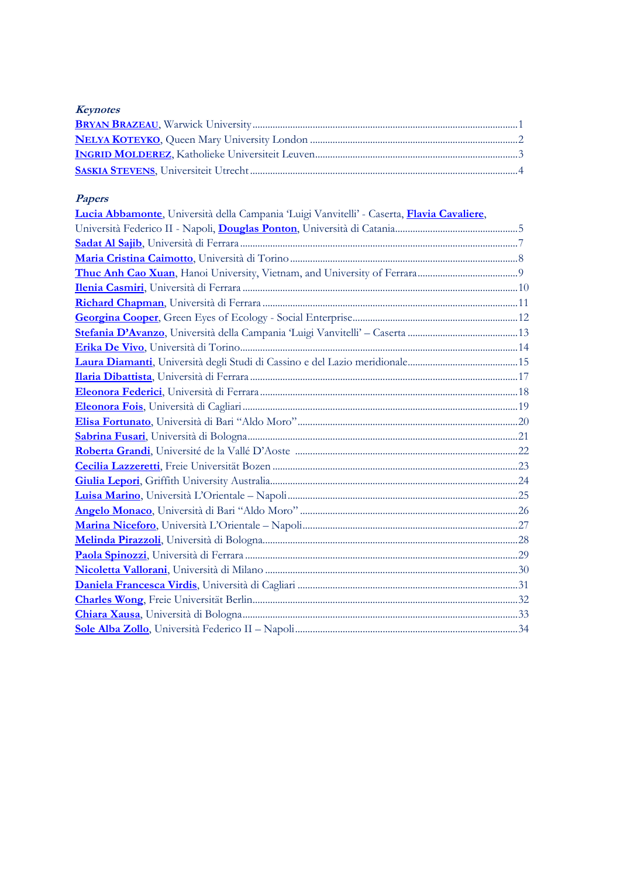# **Keynotes**

# **Papers**

<span id="page-1-0"></span>

| Lucia Abbamonte, Università della Campania Luigi Vanvitelli' - Caserta, Flavia Cavaliere, |  |
|-------------------------------------------------------------------------------------------|--|
|                                                                                           |  |
|                                                                                           |  |
|                                                                                           |  |
|                                                                                           |  |
|                                                                                           |  |
|                                                                                           |  |
|                                                                                           |  |
|                                                                                           |  |
|                                                                                           |  |
|                                                                                           |  |
|                                                                                           |  |
|                                                                                           |  |
|                                                                                           |  |
|                                                                                           |  |
|                                                                                           |  |
|                                                                                           |  |
|                                                                                           |  |
|                                                                                           |  |
|                                                                                           |  |
|                                                                                           |  |
|                                                                                           |  |
|                                                                                           |  |
|                                                                                           |  |
|                                                                                           |  |
|                                                                                           |  |
|                                                                                           |  |
|                                                                                           |  |
|                                                                                           |  |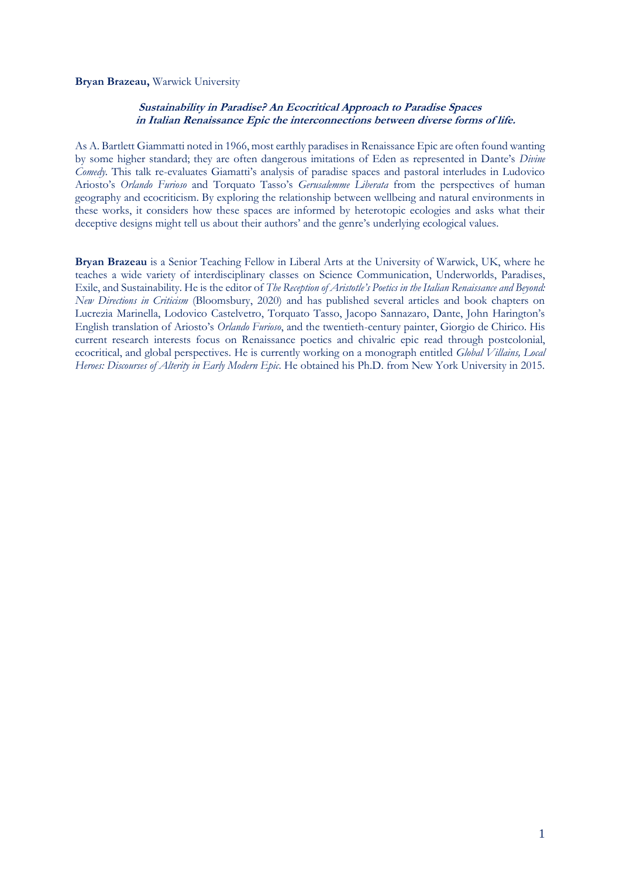# <span id="page-2-0"></span>**Bryan Brazeau,** Warwick University

# **Sustainability in Paradise? An Ecocritical Approach to Paradise Spaces in Italian Renaissance Epic the interconnections between diverse forms of life.**

As A. Bartlett Giammatti noted in 1966, most earthly paradises in Renaissance Epic are often found wanting by some higher standard; they are often dangerous imitations of Eden as represented in Dante's *Divine Comedy.* This talk re-evaluates Giamatti's analysis of paradise spaces and pastoral interludes in Ludovico Ariosto's *Orlando Furioso* and Torquato Tasso's *Gerusalemme Liberata* from the perspectives of human geography and ecocriticism. By exploring the relationship between wellbeing and natural environments in these works, it considers how these spaces are informed by heterotopic ecologies and asks what their deceptive designs might tell us about their authors' and the genre's underlying ecological values.

**Bryan Brazeau** is a Senior Teaching Fellow in Liberal Arts at the University of Warwick, UK, where he teaches a wide variety of interdisciplinary classes on Science Communication, Underworlds, Paradises, Exile, and Sustainability. He is the editor of *The Reception of Aristotle's Poetics in the Italian Renaissance and Beyond: New Directions in Criticism* (Bloomsbury, 2020) and has published several articles and book chapters on Lucrezia Marinella, Lodovico Castelvetro, Torquato Tasso, Jacopo Sannazaro, Dante, John Harington's English translation of Ariosto's *Orlando Furioso*, and the twentieth-century painter, Giorgio de Chirico. His current research interests focus on Renaissance poetics and chivalric epic read through postcolonial, ecocritical, and global perspectives. He is currently working on a monograph entitled *Global Villains, Local Heroes: Discourses of Alterity in Early Modern Epic*. He obtained his Ph.D. from New York University in 2015.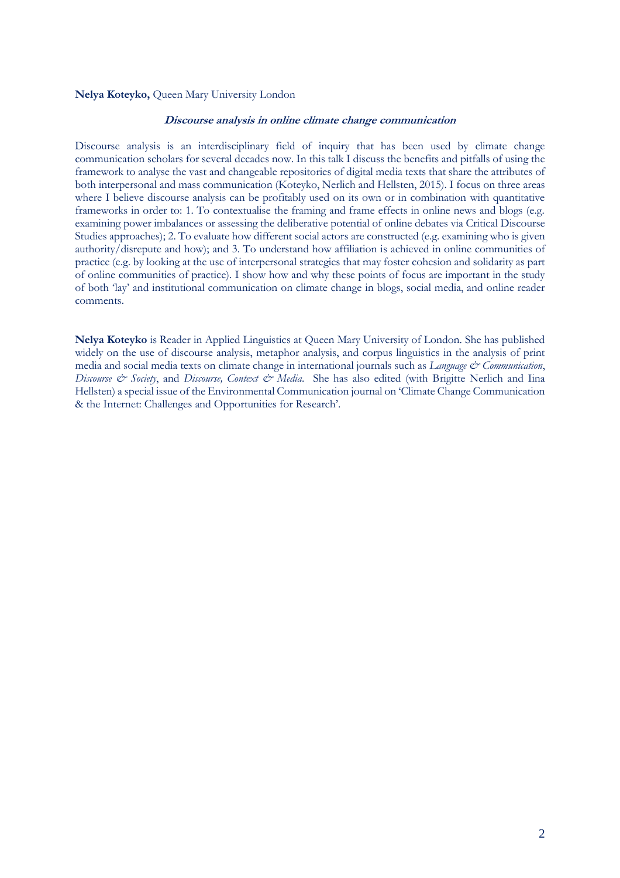# <span id="page-3-0"></span>**Nelya Koteyko,** Queen Mary University London

# **Discourse analysis in online climate change communication**

Discourse analysis is an interdisciplinary field of inquiry that has been used by climate change communication scholars for several decades now. In this talk I discuss the benefits and pitfalls of using the framework to analyse the vast and changeable repositories of digital media texts that share the attributes of both interpersonal and mass communication (Koteyko, Nerlich and Hellsten, 2015). I focus on three areas where I believe discourse analysis can be profitably used on its own or in combination with quantitative frameworks in order to: 1. To contextualise the framing and frame effects in online news and blogs (e.g. examining power imbalances or assessing the deliberative potential of online debates via Critical Discourse Studies approaches); 2. To evaluate how different social actors are constructed (e.g. examining who is given authority/disrepute and how); and 3. To understand how affiliation is achieved in online communities of practice (e.g. by looking at the use of interpersonal strategies that may foster cohesion and solidarity as part of online communities of practice). I show how and why these points of focus are important in the study of both 'lay' and institutional communication on climate change in blogs, social media, and online reader comments.

**Nelya Koteyko** is Reader in Applied Linguistics at Queen Mary University of London. She has published widely on the use of discourse analysis, metaphor analysis, and corpus linguistics in the analysis of print media and social media texts on climate change in international journals such as *Language & Communication*, *Discourse & Society*, and *Discourse, Context & Media*. She has also edited (with Brigitte Nerlich and Iina Hellsten) a special issue of the Environmental Communication journal on 'Climate Change Communication & the Internet: Challenges and Opportunities for Research'.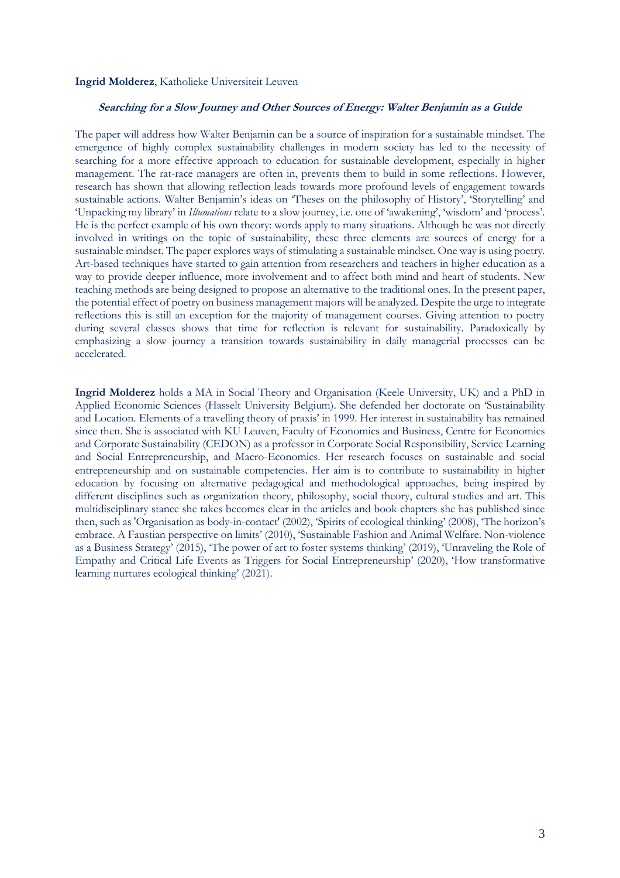#### **Ingrid Molderez**, Katholieke Universiteit Leuven

# <span id="page-4-0"></span>**Searching for a Slow Journey and Other Sources of Energy: Walter Benjamin as a Guide**

The paper will address how Walter Benjamin can be a source of inspiration for a sustainable mindset. The emergence of highly complex sustainability challenges in modern society has led to the necessity of searching for a more effective approach to education for sustainable development, especially in higher management. The rat-race managers are often in, prevents them to build in some reflections. However, research has shown that allowing reflection leads towards more profound levels of engagement towards sustainable actions. Walter Benjamin's ideas on 'Theses on the philosophy of History', 'Storytelling' and 'Unpacking my library' in *Illumations* relate to a slow journey, i.e. one of 'awakening', 'wisdom' and 'process'. He is the perfect example of his own theory: words apply to many situations. Although he was not directly involved in writings on the topic of sustainability, these three elements are sources of energy for a sustainable mindset. The paper explores ways of stimulating a sustainable mindset. One way is using poetry. Art-based techniques have started to gain attention from researchers and teachers in higher education as a way to provide deeper influence, more involvement and to affect both mind and heart of students. New teaching methods are being designed to propose an alternative to the traditional ones. In the present paper, the potential effect of poetry on business management majors will be analyzed. Despite the urge to integrate reflections this is still an exception for the majority of management courses. Giving attention to poetry during several classes shows that time for reflection is relevant for sustainability. Paradoxically by emphasizing a slow journey a transition towards sustainability in daily managerial processes can be accelerated.

**Ingrid Molderez** holds a MA in Social Theory and Organisation (Keele University, UK) and a PhD in Applied Economic Sciences (Hasselt University Belgium). She defended her doctorate on 'Sustainability and Location. Elements of a travelling theory of praxis' in 1999. Her interest in sustainability has remained since then. She is associated with KU Leuven, Faculty of Economics and Business, Centre for Economics and Corporate Sustainability (CEDON) as a professor in Corporate Social Responsibility, Service Learning and Social Entrepreneurship, and Macro-Economics. Her research focuses on sustainable and social entrepreneurship and on sustainable competencies. Her aim is to contribute to sustainability in higher education by focusing on alternative pedagogical and methodological approaches, being inspired by different disciplines such as organization theory, philosophy, social theory, cultural studies and art. This multidisciplinary stance she takes becomes clear in the articles and book chapters she has published since then, such as 'Organisation as body-in-contact' (2002), 'Spirits of ecological thinking' (2008), 'The horizon's embrace. A Faustian perspective on limits' (2010), 'Sustainable Fashion and Animal Welfare. Non-violence as a Business Strategy' (2015), 'The power of art to foster systems thinking' (2019), 'Unraveling the Role of Empathy and Critical Life Events as Triggers for Social Entrepreneurship' (2020), 'How transformative learning nurtures ecological thinking' (2021).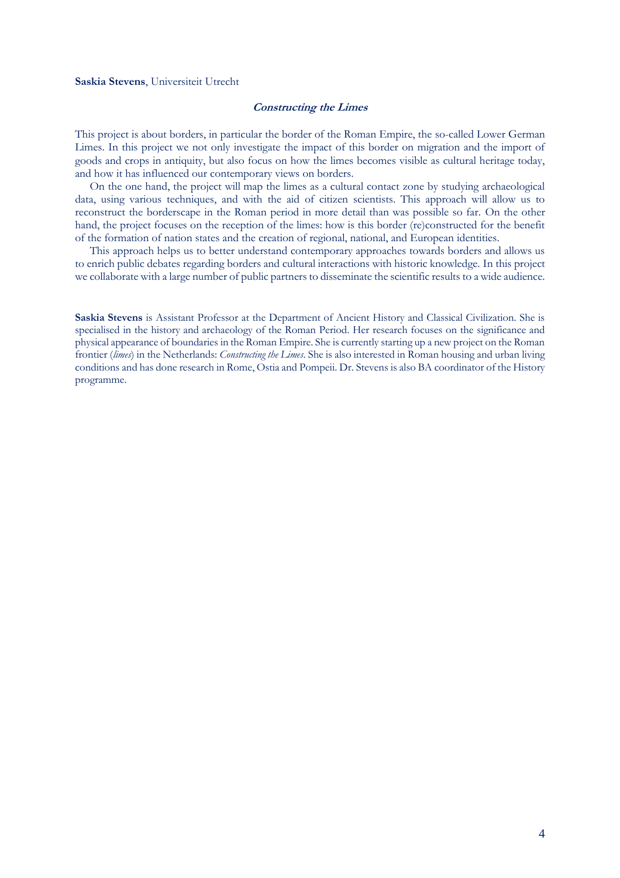#### <span id="page-5-0"></span>**Saskia Stevens**, Universiteit Utrecht

# **Constructing the Limes**

This project is about borders, in particular the border of the Roman Empire, the so-called Lower German Limes. In this project we not only investigate the impact of this border on migration and the import of goods and crops in antiquity, but also focus on how the limes becomes visible as cultural heritage today, and how it has influenced our contemporary views on borders.

On the one hand, the project will map the limes as a cultural contact zone by studying archaeological data, using various techniques, and with the aid of citizen scientists. This approach will allow us to reconstruct the borderscape in the Roman period in more detail than was possible so far. On the other hand, the project focuses on the reception of the limes: how is this border (re)constructed for the benefit of the formation of nation states and the creation of regional, national, and European identities.

This approach helps us to better understand contemporary approaches towards borders and allows us to enrich public debates regarding borders and cultural interactions with historic knowledge. In this project we collaborate with a large number of public partners to disseminate the scientific results to a wide audience.

**Saskia Stevens** is Assistant Professor at the Department of Ancient History and Classical Civilization. She is specialised in the history and archaeology of the Roman Period. Her research focuses on the significance and physical appearance of boundaries in the Roman Empire. She is currently starting up a new project on the Roman frontier (*limes*) in the Netherlands: *Constructing the Limes*. She is also interested in Roman housing and urban living conditions and has done research in Rome, Ostia and Pompeii. Dr. Stevens is also BA coordinator of the History programme.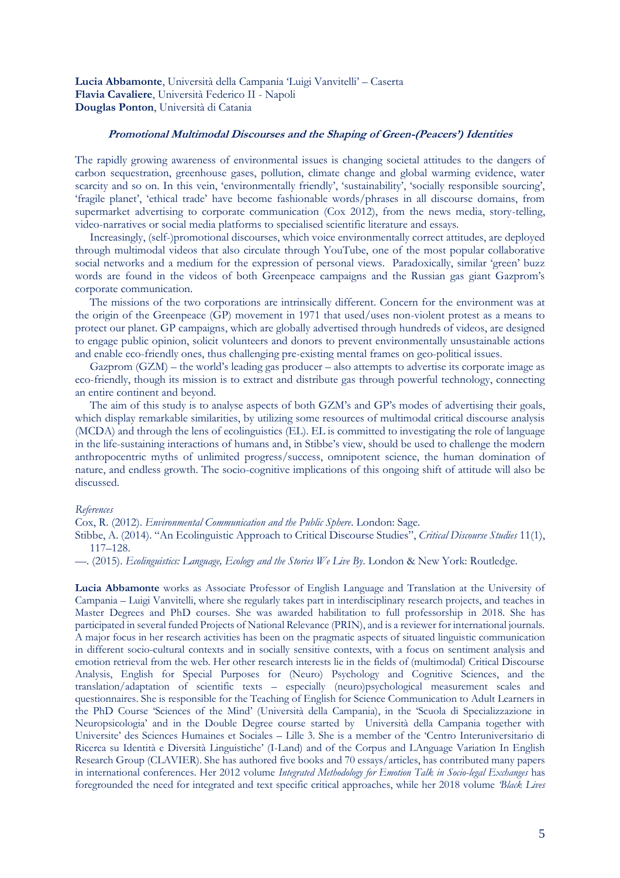<span id="page-6-0"></span>**Lucia Abbamonte**, Università della Campania 'Luigi Vanvitelli' – Caserta **Flavia Cavaliere**, Università Federico II - Napoli **Douglas Ponton**, Università di Catania

# <span id="page-6-1"></span>**Promotional Multimodal Discourses and the Shaping of Green-(Peacers') Identities**

The rapidly growing awareness of environmental issues is changing societal attitudes to the dangers of carbon sequestration, greenhouse gases, pollution, climate change and global warming evidence, water scarcity and so on. In this vein, 'environmentally friendly', 'sustainability', 'socially responsible sourcing', 'fragile planet', 'ethical trade' have become fashionable words/phrases in all discourse domains, from supermarket advertising to corporate communication (Cox 2012), from the news media, story-telling, video-narratives or social media platforms to specialised scientific literature and essays.

Increasingly, (self-)promotional discourses, which voice environmentally correct attitudes, are deployed through multimodal videos that also circulate through YouTube, one of the most popular collaborative social networks and a medium for the expression of personal views. Paradoxically, similar 'green' buzz words are found in the videos of both Greenpeace campaigns and the Russian gas giant Gazprom's corporate communication.

The missions of the two corporations are intrinsically different. Concern for the environment was at the origin of the Greenpeace (GP) movement in 1971 that used/uses non-violent protest as a means to protect our planet. GP campaigns, which are globally advertised through hundreds of videos, are designed to engage public opinion, solicit volunteers and donors to prevent environmentally unsustainable actions and enable eco-friendly ones, thus challenging pre-existing mental frames on geo-political issues.

Gazprom (GZM) – the world's leading gas producer – also attempts to advertise its corporate image as eco-friendly, though its mission is to extract and distribute gas through powerful technology, connecting an entire continent and beyond.

The aim of this study is to analyse aspects of both GZM's and GP's modes of advertising their goals, which display remarkable similarities, by utilizing some resources of multimodal critical discourse analysis (MCDA) and through the lens of ecolinguistics (EL). EL is committed to investigating the role of language in the life-sustaining interactions of humans and, in Stibbe's view, should be used to challenge the modern anthropocentric myths of unlimited progress/success, omnipotent science, the human domination of nature, and endless growth. The socio-cognitive implications of this ongoing shift of attitude will also be discussed.

## *References*

Cox, R. (2012). *Environmental Communication and the Public Sphere*. London: Sage.

Stibbe, A. (2014). "An Ecolinguistic Approach to Critical Discourse Studies", *Critical Discourse Studies* 11(1), 117–128.

—. (2015). *Ecolinguistics: Language, Ecology and the Stories We Live By*. London & New York: Routledge.

**Lucia Abbamonte** works as Associate Professor of English Language and Translation at the University of Campania – Luigi Vanvitelli, where she regularly takes part in interdisciplinary research projects, and teaches in Master Degrees and PhD courses. She was awarded habilitation to full professorship in 2018. She has participated in several funded Projects of National Relevance (PRIN), and is a reviewer for international journals. A major focus in her research activities has been on the pragmatic aspects of situated linguistic communication in different socio-cultural contexts and in socially sensitive contexts, with a focus on sentiment analysis and emotion retrieval from the web. Her other research interests lie in the fields of (multimodal) Critical Discourse Analysis, English for Special Purposes for (Neuro) Psychology and Cognitive Sciences, and the translation/adaptation of scientific texts – especially (neuro)psychological measurement scales and questionnaires. She is responsible for the Teaching of English for Science Communication to Adult Learners in the PhD Course 'Sciences of the Mind' (Università della Campania), in the 'Scuola di Specializzazione in Neuropsicologia' and in the Double Degree course started by Università della Campania together with Universite' des Sciences Humaines et Sociales – Lille 3. She is a member of the 'Centro Interuniversitario di Ricerca su Identità e Diversità Linguistiche' (I-Land) and of the Corpus and LAnguage Variation In English Research Group (CLAVIER). She has authored five books and 70 essays/articles, has contributed many papers in international conferences. Her 2012 volume *Integrated Methodology for Emotion Talk in Socio-legal Exchanges* has foregrounded the need for integrated and text specific critical approaches, while her 2018 volume *'Black Lives*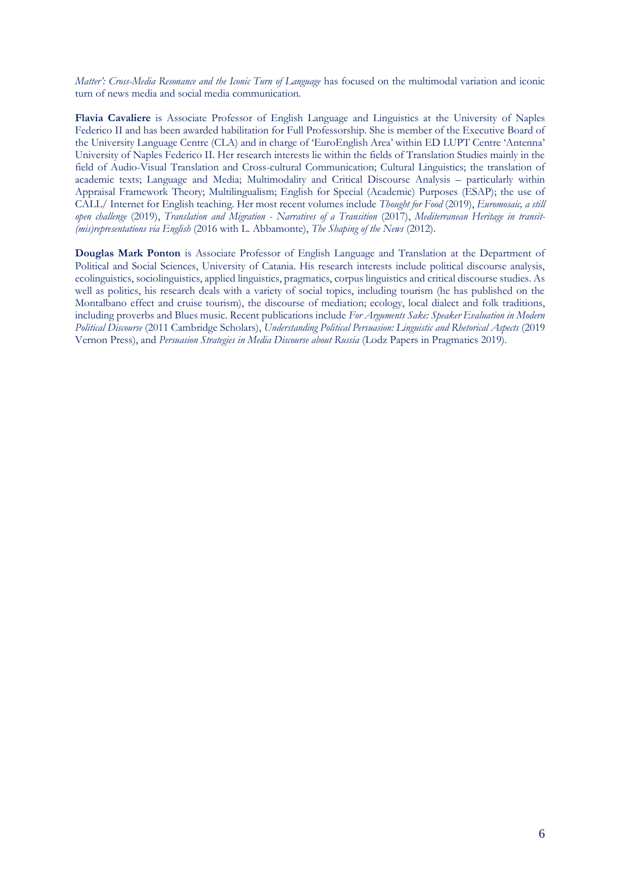*Matter': Cross-Media Resonance and the Iconic Turn of Language* has focused on the multimodal variation and iconic turn of news media and social media communication.

**Flavia Cavaliere** is Associate Professor of English Language and Linguistics at the University of Naples Federico II and has been awarded habilitation for Full Professorship. She is member of the Executive Board of the University Language Centre (CLA) and in charge of 'EuroEnglish Area' within ED LUPT Centre 'Antenna' University of Naples Federico II. Her research interests lie within the fields of Translation Studies mainly in the field of Audio-Visual Translation and Cross-cultural Communication; Cultural Linguistics; the translation of academic texts; Language and Media; Multimodality and Critical Discourse Analysis – particularly within Appraisal Framework Theory; Multilingualism; English for Special (Academic) Purposes (ESAP); the use of CALL/ Internet for English teaching. Her most recent volumes include *Thought for Food* (2019), *Euromosaic, a still open challenge* (2019), *Translation and Migration - Narratives of a Transition* (2017), *Mediterranean Heritage in transit- (mis)representations via English* (2016 with L. Abbamonte), *The Shaping of the News* (2012).

**Douglas Mark Ponton** is Associate Professor of English Language and Translation at the Department of Political and Social Sciences, University of Catania. His research interests include political discourse analysis, ecolinguistics, sociolinguistics, applied linguistics, pragmatics, corpus linguistics and critical discourse studies. As well as politics, his research deals with a variety of social topics, including tourism (he has published on the Montalbano effect and cruise tourism), the discourse of mediation; ecology, local dialect and folk traditions, including proverbs and Blues music. Recent publications include *For Arguments Sake: Speaker Evaluation in Modern Political Discourse* (2011 Cambridge Scholars), *Understanding Political Persuasion: Linguistic and Rhetorical Aspects* (2019 Vernon Press), and *Persuasion Strategies in Media Discourse about Russia* (Lodz Papers in Pragmatics 2019).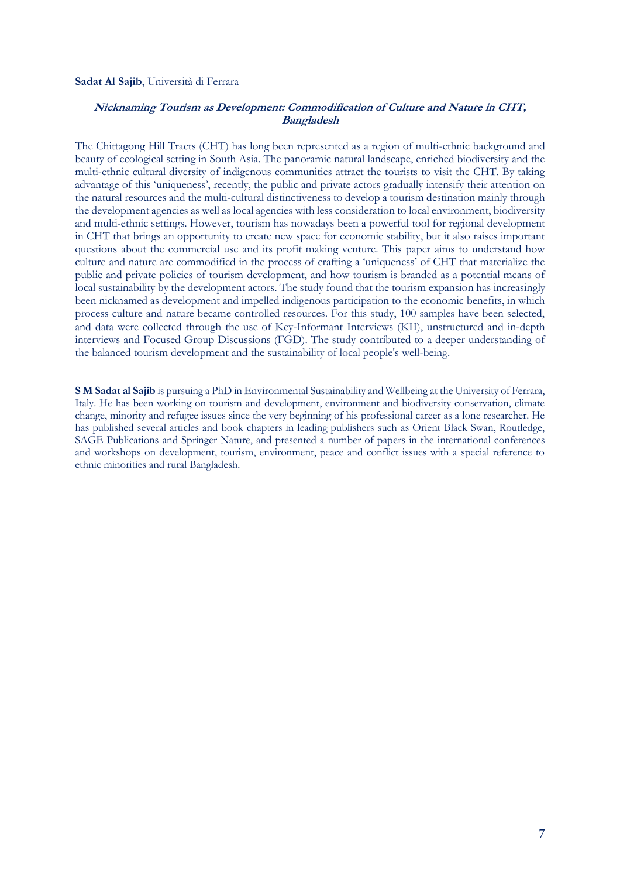#### **Sadat Al Sajib**, Università di Ferrara

# <span id="page-8-0"></span>**Nicknaming Tourism as Development: Commodification of Culture and Nature in CHT, Bangladesh**

The Chittagong Hill Tracts (CHT) has long been represented as a region of multi-ethnic background and beauty of ecological setting in South Asia. The panoramic natural landscape, enriched biodiversity and the multi-ethnic cultural diversity of indigenous communities attract the tourists to visit the CHT. By taking advantage of this 'uniqueness', recently, the public and private actors gradually intensify their attention on the natural resources and the multi-cultural distinctiveness to develop a tourism destination mainly through the development agencies as well as local agencies with less consideration to local environment, biodiversity and multi-ethnic settings. However, tourism has nowadays been a powerful tool for regional development in CHT that brings an opportunity to create new space for economic stability, but it also raises important questions about the commercial use and its profit making venture. This paper aims to understand how culture and nature are commodified in the process of crafting a 'uniqueness' of CHT that materialize the public and private policies of tourism development, and how tourism is branded as a potential means of local sustainability by the development actors. The study found that the tourism expansion has increasingly been nicknamed as development and impelled indigenous participation to the economic benefits, in which process culture and nature became controlled resources. For this study, 100 samples have been selected, and data were collected through the use of Key-Informant Interviews (KII), unstructured and in-depth interviews and Focused Group Discussions (FGD). The study contributed to a deeper understanding of the balanced tourism development and the sustainability of local people's well-being.

**S M Sadat al Sajib** is pursuing a PhD in Environmental Sustainability and Wellbeing at the University of Ferrara, Italy. He has been working on tourism and development, environment and biodiversity conservation, climate change, minority and refugee issues since the very beginning of his professional career as a lone researcher. He has published several articles and book chapters in leading publishers such as Orient Black Swan, Routledge, SAGE Publications and Springer Nature, and presented a number of papers in the international conferences and workshops on development, tourism, environment, peace and conflict issues with a special reference to ethnic minorities and rural Bangladesh.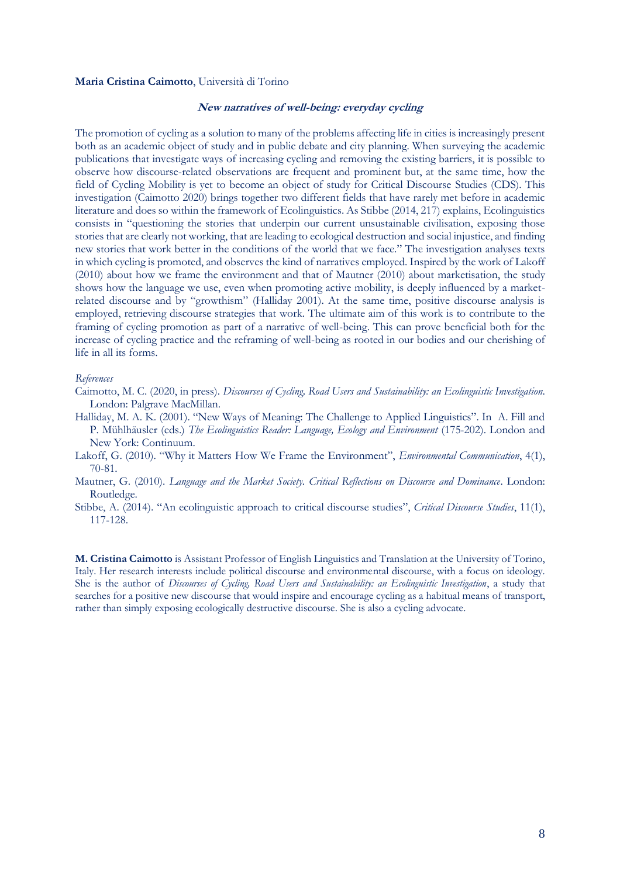#### **Maria Cristina Caimotto**, Università di Torino

# <span id="page-9-0"></span>**New narratives of well-being: everyday cycling**

The promotion of cycling as a solution to many of the problems affecting life in cities is increasingly present both as an academic object of study and in public debate and city planning. When surveying the academic publications that investigate ways of increasing cycling and removing the existing barriers, it is possible to observe how discourse-related observations are frequent and prominent but, at the same time, how the field of Cycling Mobility is yet to become an object of study for Critical Discourse Studies (CDS). This investigation (Caimotto 2020) brings together two different fields that have rarely met before in academic literature and does so within the framework of Ecolinguistics. As Stibbe (2014, 217) explains, Ecolinguistics consists in "questioning the stories that underpin our current unsustainable civilisation, exposing those stories that are clearly not working, that are leading to ecological destruction and social injustice, and finding new stories that work better in the conditions of the world that we face." The investigation analyses texts in which cycling is promoted, and observes the kind of narratives employed. Inspired by the work of Lakoff (2010) about how we frame the environment and that of Mautner (2010) about marketisation, the study shows how the language we use, even when promoting active mobility, is deeply influenced by a marketrelated discourse and by "growthism" (Halliday 2001). At the same time, positive discourse analysis is employed, retrieving discourse strategies that work. The ultimate aim of this work is to contribute to the framing of cycling promotion as part of a narrative of well-being. This can prove beneficial both for the increase of cycling practice and the reframing of well-being as rooted in our bodies and our cherishing of life in all its forms.

#### *References*

- Caimotto, M. C. (2020, in press). *Discourses of Cycling, Road Users and Sustainability: an Ecolinguistic Investigation*. London: Palgrave MacMillan.
- Halliday, M. A. K. (2001). "New Ways of Meaning: The Challenge to Applied Linguistics". In A. Fill and P. Mühlhäusler (eds.) *The Ecolinguistics Reader: Language, Ecology and Environment* (175-202). London and New York: Continuum.
- Lakoff, G. (2010). "Why it Matters How We Frame the Environment", *Environmental Communication*, 4(1), 70-81.
- Mautner, G. (2010). *Language and the Market Society. Critical Reflections on Discourse and Dominance*. London: Routledge.
- Stibbe, A. (2014). "An ecolinguistic approach to critical discourse studies", *Critical Discourse Studies*, 11(1), 117-128.

**M. Cristina Caimotto** is Assistant Professor of English Linguistics and Translation at the University of Torino, Italy. Her research interests include political discourse and environmental discourse, with a focus on ideology. She is the author of *Discourses of Cycling, Road Users and Sustainability: an Ecolinguistic Investigation*, a study that searches for a positive new discourse that would inspire and encourage cycling as a habitual means of transport, rather than simply exposing ecologically destructive discourse. She is also a cycling advocate.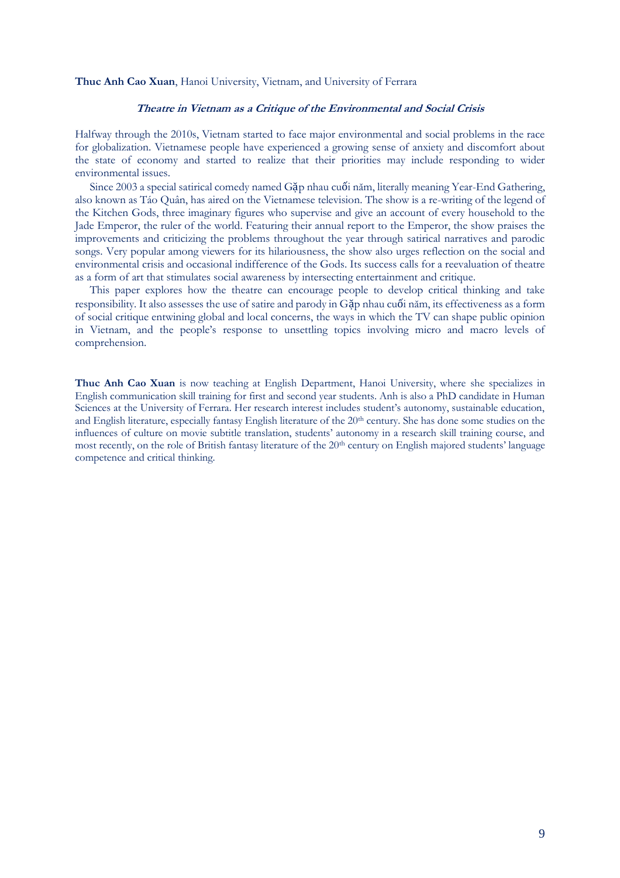#### <span id="page-10-0"></span>**Thuc Anh Cao Xuan**, Hanoi University, Vietnam, and University of Ferrara

# **Theatre in Vietnam as a Critique of the Environmental and Social Crisis**

Halfway through the 2010s, Vietnam started to face major environmental and social problems in the race for globalization. Vietnamese people have experienced a growing sense of anxiety and discomfort about the state of economy and started to realize that their priorities may include responding to wider environmental issues.

Since 2003 a special satirical comedy named Gặp nhau cuối năm, literally meaning Year-End Gathering, also known as Táo Quân, has aired on the Vietnamese television. The show is a re-writing of the legend of the Kitchen Gods, three imaginary figures who supervise and give an account of every household to the Jade Emperor, the ruler of the world. Featuring their annual report to the Emperor, the show praises the improvements and criticizing the problems throughout the year through satirical narratives and parodic songs. Very popular among viewers for its hilariousness, the show also urges reflection on the social and environmental crisis and occasional indifference of the Gods. Its success calls for a reevaluation of theatre as a form of art that stimulates social awareness by intersecting entertainment and critique.

This paper explores how the theatre can encourage people to develop critical thinking and take responsibility. It also assesses the use of satire and parody in Gặp nhau cuối năm, its effectiveness as a form of social critique entwining global and local concerns, the ways in which the TV can shape public opinion in Vietnam, and the people's response to unsettling topics involving micro and macro levels of comprehension.

**Thuc Anh Cao Xuan** is now teaching at English Department, Hanoi University, where she specializes in English communication skill training for first and second year students. Anh is also a PhD candidate in Human Sciences at the University of Ferrara. Her research interest includes student's autonomy, sustainable education, and English literature, especially fantasy English literature of the 20th century. She has done some studies on the influences of culture on movie subtitle translation, students' autonomy in a research skill training course, and most recently, on the role of British fantasy literature of the 20<sup>th</sup> century on English majored students' language competence and critical thinking.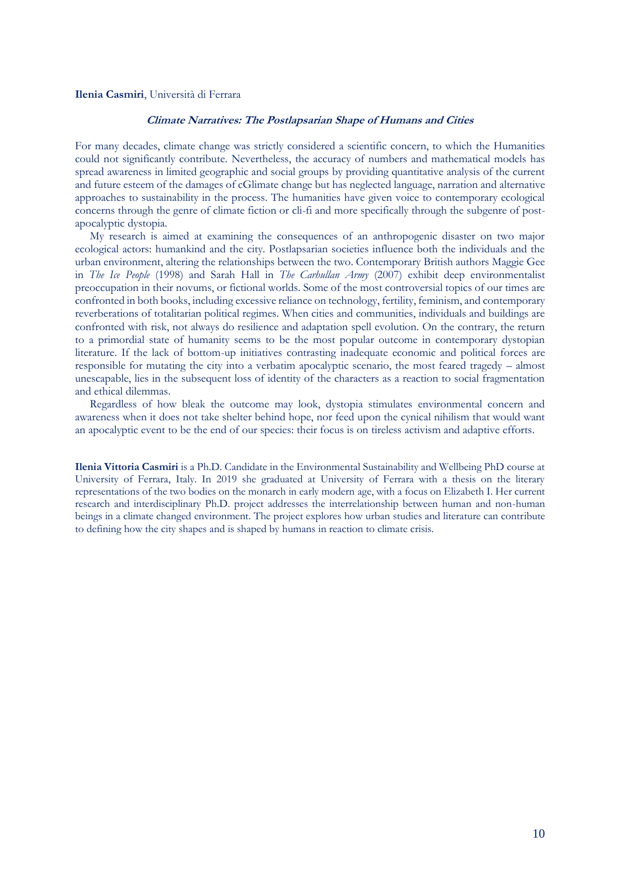# <span id="page-11-0"></span>**Ilenia Casmiri**, Università di Ferrara

# **Climate Narratives: The Postlapsarian Shape of Humans and Cities**

For many decades, climate change was strictly considered a scientific concern, to which the Humanities could not significantly contribute. Nevertheless, the accuracy of numbers and mathematical models has spread awareness in limited geographic and social groups by providing quantitative analysis of the current and future esteem of the damages of cGlimate change but has neglected language, narration and alternative approaches to sustainability in the process. The humanities have given voice to contemporary ecological concerns through the genre of climate fiction or cli-fi and more specifically through the subgenre of postapocalyptic dystopia.

My research is aimed at examining the consequences of an anthropogenic disaster on two major ecological actors: humankind and the city. Postlapsarian societies influence both the individuals and the urban environment, altering the relationships between the two. Contemporary British authors Maggie Gee in *The Ice People* (1998) and Sarah Hall in *The Carhullan Army* (2007) exhibit deep environmentalist preoccupation in their novums, or fictional worlds. Some of the most controversial topics of our times are confronted in both books, including excessive reliance on technology, fertility, feminism, and contemporary reverberations of totalitarian political regimes. When cities and communities, individuals and buildings are confronted with risk, not always do resilience and adaptation spell evolution. On the contrary, the return to a primordial state of humanity seems to be the most popular outcome in contemporary dystopian literature. If the lack of bottom-up initiatives contrasting inadequate economic and political forces are responsible for mutating the city into a verbatim apocalyptic scenario, the most feared tragedy – almost unescapable, lies in the subsequent loss of identity of the characters as a reaction to social fragmentation and ethical dilemmas.

Regardless of how bleak the outcome may look, dystopia stimulates environmental concern and awareness when it does not take shelter behind hope, nor feed upon the cynical nihilism that would want an apocalyptic event to be the end of our species: their focus is on tireless activism and adaptive efforts.

**Ilenia Vittoria Casmiri** is a Ph.D. Candidate in the Environmental Sustainability and Wellbeing PhD course at University of Ferrara, Italy. In 2019 she graduated at University of Ferrara with a thesis on the literary representations of the two bodies on the monarch in early modern age, with a focus on Elizabeth I. Her current research and interdisciplinary Ph.D. project addresses the interrelationship between human and non-human beings in a climate changed environment. The project explores how urban studies and literature can contribute to defining how the city shapes and is shaped by humans in reaction to climate crisis.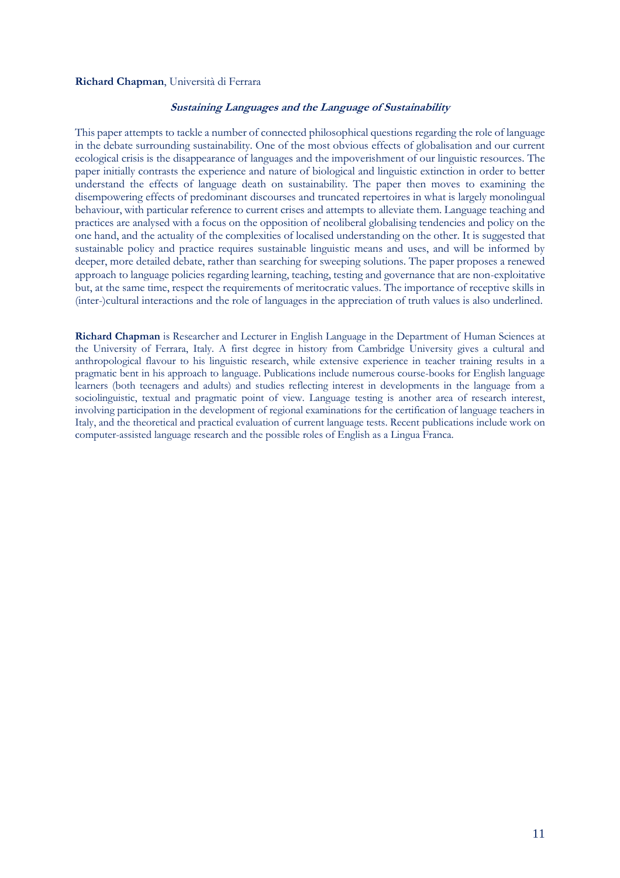# <span id="page-12-0"></span>**Richard Chapman**, Università di Ferrara

# **Sustaining Languages and the Language of Sustainability**

This paper attempts to tackle a number of connected philosophical questions regarding the role of language in the debate surrounding sustainability. One of the most obvious effects of globalisation and our current ecological crisis is the disappearance of languages and the impoverishment of our linguistic resources. The paper initially contrasts the experience and nature of biological and linguistic extinction in order to better understand the effects of language death on sustainability. The paper then moves to examining the disempowering effects of predominant discourses and truncated repertoires in what is largely monolingual behaviour, with particular reference to current crises and attempts to alleviate them. Language teaching and practices are analysed with a focus on the opposition of neoliberal globalising tendencies and policy on the one hand, and the actuality of the complexities of localised understanding on the other. It is suggested that sustainable policy and practice requires sustainable linguistic means and uses, and will be informed by deeper, more detailed debate, rather than searching for sweeping solutions. The paper proposes a renewed approach to language policies regarding learning, teaching, testing and governance that are non-exploitative but, at the same time, respect the requirements of meritocratic values. The importance of receptive skills in (inter-)cultural interactions and the role of languages in the appreciation of truth values is also underlined.

**Richard Chapman** is Researcher and Lecturer in English Language in the Department of Human Sciences at the University of Ferrara, Italy. A first degree in history from Cambridge University gives a cultural and anthropological flavour to his linguistic research, while extensive experience in teacher training results in a pragmatic bent in his approach to language. Publications include numerous course-books for English language learners (both teenagers and adults) and studies reflecting interest in developments in the language from a sociolinguistic, textual and pragmatic point of view. Language testing is another area of research interest, involving participation in the development of regional examinations for the certification of language teachers in Italy, and the theoretical and practical evaluation of current language tests. Recent publications include work on computer-assisted language research and the possible roles of English as a Lingua Franca.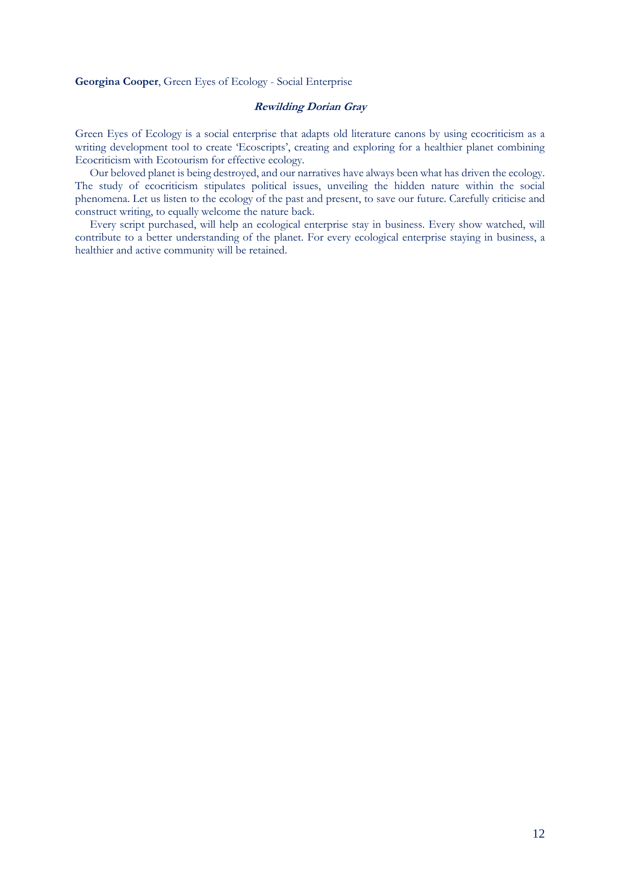# <span id="page-13-0"></span>**Georgina Cooper**, Green Eyes of Ecology - Social Enterprise

# **Rewilding Dorian Gray**

Green Eyes of Ecology is a social enterprise that adapts old literature canons by using ecocriticism as a writing development tool to create 'Ecoscripts', creating and exploring for a healthier planet combining Ecocriticism with Ecotourism for effective ecology.

Our beloved planet is being destroyed, and our narratives have always been what has driven the ecology. The study of ecocriticism stipulates political issues, unveiling the hidden nature within the social phenomena. Let us listen to the ecology of the past and present, to save our future. Carefully criticise and construct writing, to equally welcome the nature back.

Every script purchased, will help an ecological enterprise stay in business. Every show watched, will contribute to a better understanding of the planet. For every ecological enterprise staying in business, a healthier and active community will be retained.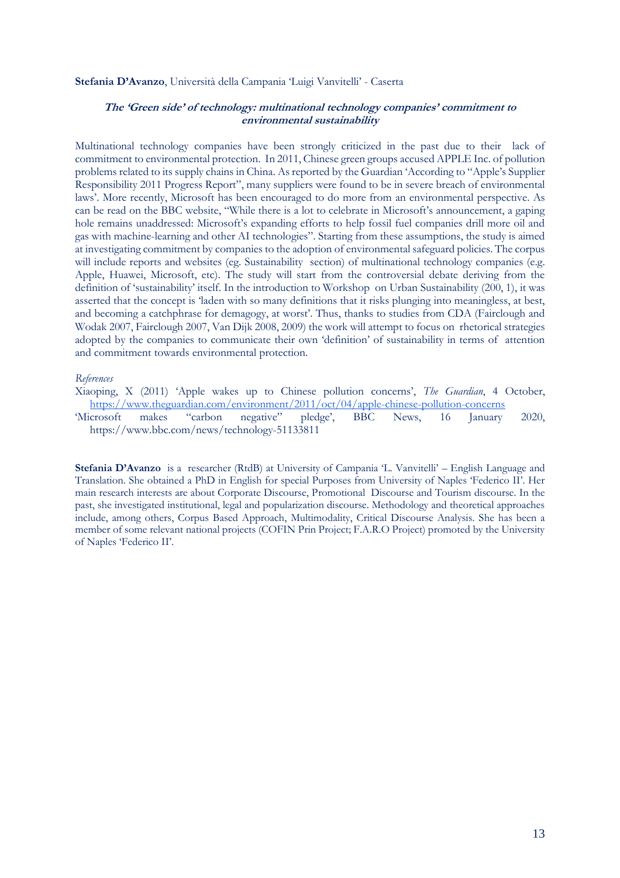#### **Stefania D'Avanzo**, Università della Campania 'Luigi Vanvitelli' - Caserta

# <span id="page-14-0"></span>**The 'Green side' of technology: multinational technology companies' commitment to environmental sustainability**

Multinational technology companies have been strongly criticized in the past due to their lack of commitment to environmental protection. In 2011, Chinese green groups accused APPLE Inc. of pollution problems related to its supply chains in China. As reported by the Guardian 'According to "Apple's Supplier Responsibility 2011 Progress Report", many suppliers were found to be in severe breach of environmental laws'. More recently, Microsoft has been encouraged to do more from an environmental perspective. As can be read on the BBC website, "While there is a lot to celebrate in Microsoft's announcement, a gaping hole remains unaddressed: Microsoft's expanding efforts to help fossil fuel companies drill more oil and gas with machine-learning and other AI technologies". Starting from these assumptions, the study is aimed at investigating commitment by companies to the adoption of environmental safeguard policies. The corpus will include reports and websites (eg. Sustainability section) of multinational technology companies (e.g. Apple, Huawei, Microsoft, etc). The study will start from the controversial debate deriving from the definition of 'sustainability' itself. In the introduction to Workshop on Urban Sustainability (200, 1), it was asserted that the concept is 'laden with so many definitions that it risks plunging into meaningless, at best, and becoming a catchphrase for demagogy, at worst'. Thus, thanks to studies from CDA (Fairclough and Wodak 2007, Fairclough 2007, Van Dijk 2008, 2009) the work will attempt to focus on rhetorical strategies adopted by the companies to communicate their own 'definition' of sustainability in terms of attention and commitment towards environmental protection.

#### *References*

Xiaoping, X (2011) 'Apple wakes up to Chinese pollution concerns', *The Guardian*, 4 October, <https://www.theguardian.com/environment/2011/oct/04/apple-chinese-pollution-concerns><br>icrosoft makes "carbon negative" pledge', BBC News, 16 January

'Microsoft makes "carbon negative" pledge', BBC News, 16 January 2020, https://www.bbc.com/news/technology-51133811

**Stefania D'Avanzo** is a researcher (RtdB) at University of Campania 'L. Vanvitelli' – English Language and Translation. She obtained a PhD in English for special Purposes from University of Naples 'Federico II'. Her main research interests are about Corporate Discourse, Promotional Discourse and Tourism discourse. In the past, she investigated institutional, legal and popularization discourse. Methodology and theoretical approaches include, among others, Corpus Based Approach, Multimodality, Critical Discourse Analysis. She has been a member of some relevant national projects (COFIN Prin Project; F.A.R.O Project) promoted by the University of Naples 'Federico II'.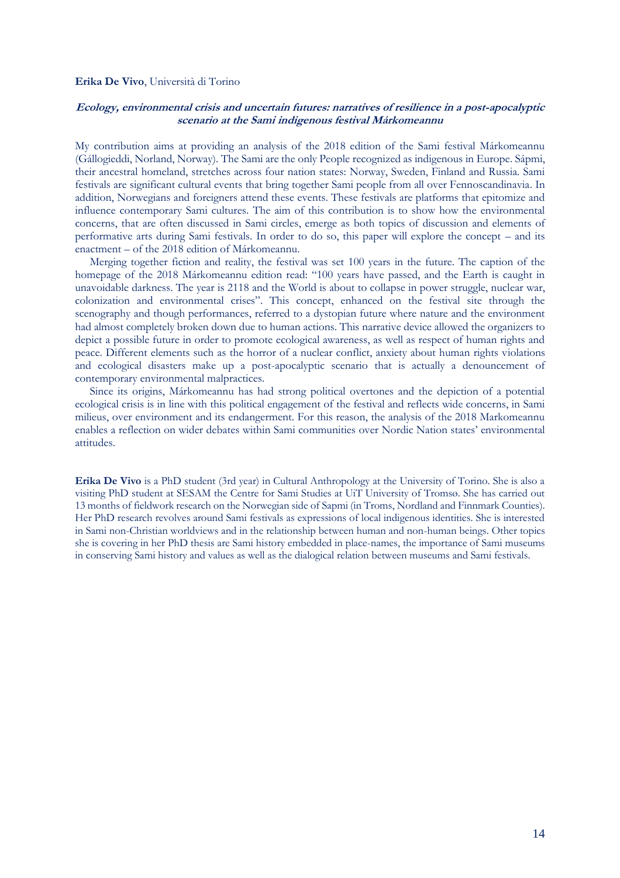#### <span id="page-15-0"></span>**Erika De Vivo**, Università di Torino

# **Ecology, environmental crisis and uncertain futures: narratives of resilience in a post-apocalyptic scenario at the Sami indigenous festival Márkomeannu**

My contribution aims at providing an analysis of the 2018 edition of the Sami festival Márkomeannu (Gállogieddi, Norland, Norway). The Sami are the only People recognized as indigenous in Europe. Sápmi, their ancestral homeland, stretches across four nation states: Norway, Sweden, Finland and Russia. Sami festivals are significant cultural events that bring together Sami people from all over Fennoscandinavia. In addition, Norwegians and foreigners attend these events. These festivals are platforms that epitomize and influence contemporary Sami cultures. The aim of this contribution is to show how the environmental concerns, that are often discussed in Sami circles, emerge as both topics of discussion and elements of performative arts during Sami festivals. In order to do so, this paper will explore the concept – and its enactment – of the 2018 edition of Márkomeannu.

Merging together fiction and reality, the festival was set 100 years in the future. The caption of the homepage of the 2018 Márkomeannu edition read: "100 years have passed, and the Earth is caught in unavoidable darkness. The year is 2118 and the World is about to collapse in power struggle, nuclear war, colonization and environmental crises". This concept, enhanced on the festival site through the scenography and though performances, referred to a dystopian future where nature and the environment had almost completely broken down due to human actions. This narrative device allowed the organizers to depict a possible future in order to promote ecological awareness, as well as respect of human rights and peace. Different elements such as the horror of a nuclear conflict, anxiety about human rights violations and ecological disasters make up a post-apocalyptic scenario that is actually a denouncement of contemporary environmental malpractices.

Since its origins, Márkomeannu has had strong political overtones and the depiction of a potential ecological crisis is in line with this political engagement of the festival and reflects wide concerns, in Sami milieus, over environment and its endangerment. For this reason, the analysis of the 2018 Markomeannu enables a reflection on wider debates within Sami communities over Nordic Nation states' environmental attitudes.

**Erika De Vivo** is a PhD student (3rd year) in Cultural Anthropology at the University of Torino. She is also a visiting PhD student at SESAM the Centre for Sami Studies at UiT University of Tromsø. She has carried out 13 months of fieldwork research on the Norwegian side of Sapmi (in Troms, Nordland and Finnmark Counties). Her PhD research revolves around Sami festivals as expressions of local indigenous identities. She is interested in Sami non-Christian worldviews and in the relationship between human and non-human beings. Other topics she is covering in her PhD thesis are Sami history embedded in place-names, the importance of Sami museums in conserving Sami history and values as well as the dialogical relation between museums and Sami festivals.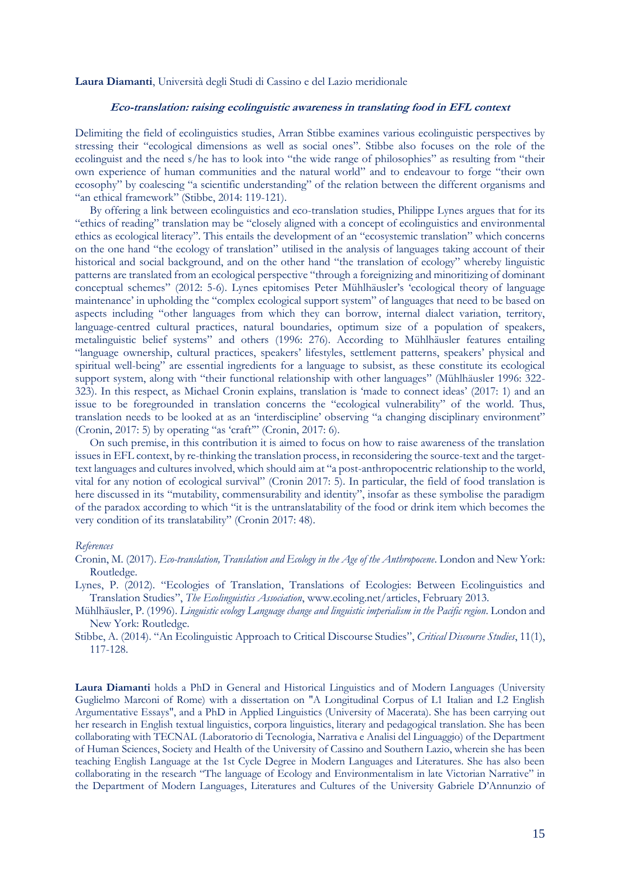#### **Laura Diamanti**, Università degli Studi di Cassino e del Lazio meridionale

# <span id="page-16-0"></span>**Eco-translation: raising ecolinguistic awareness in translating food in EFL context**

Delimiting the field of ecolinguistics studies, Arran Stibbe examines various ecolinguistic perspectives by stressing their "ecological dimensions as well as social ones". Stibbe also focuses on the role of the ecolinguist and the need s/he has to look into "the wide range of philosophies" as resulting from "their own experience of human communities and the natural world" and to endeavour to forge "their own ecosophy" by coalescing "a scientific understanding" of the relation between the different organisms and "an ethical framework" (Stibbe, 2014: 119-121).

By offering a link between ecolinguistics and eco-translation studies, Philippe Lynes argues that for its "ethics of reading" translation may be "closely aligned with a concept of ecolinguistics and environmental ethics as ecological literacy". This entails the development of an "ecosystemic translation" which concerns on the one hand "the ecology of translation" utilised in the analysis of languages taking account of their historical and social background, and on the other hand "the translation of ecology" whereby linguistic patterns are translated from an ecological perspective "through a foreignizing and minoritizing of dominant conceptual schemes" (2012: 5-6). Lynes epitomises Peter Mühlhäusler's 'ecological theory of language maintenance' in upholding the "complex ecological support system" of languages that need to be based on aspects including "other languages from which they can borrow, internal dialect variation, territory, language-centred cultural practices, natural boundaries, optimum size of a population of speakers, metalinguistic belief systems" and others (1996: 276). According to Mühlhäusler features entailing "language ownership, cultural practices, speakers' lifestyles, settlement patterns, speakers' physical and spiritual well-being" are essential ingredients for a language to subsist, as these constitute its ecological support system, along with "their functional relationship with other languages" (Mühlhäusler 1996: 322- 323). In this respect, as Michael Cronin explains, translation is 'made to connect ideas' (2017: 1) and an issue to be foregrounded in translation concerns the "ecological vulnerability" of the world. Thus, translation needs to be looked at as an 'interdiscipline' observing "a changing disciplinary environment" (Cronin, 2017: 5) by operating "as 'craft'" (Cronin, 2017: 6).

On such premise, in this contribution it is aimed to focus on how to raise awareness of the translation issues in EFL context, by re-thinking the translation process, in reconsidering the source-text and the targettext languages and cultures involved, which should aim at "a post-anthropocentric relationship to the world, vital for any notion of ecological survival" (Cronin 2017: 5). In particular, the field of food translation is here discussed in its "mutability, commensurability and identity", insofar as these symbolise the paradigm of the paradox according to which "it is the untranslatability of the food or drink item which becomes the very condition of its translatability" (Cronin 2017: 48).

#### *References*

Cronin, M. (2017). *Eco-translation, Translation and Ecology in the Age of the Anthropocene*. London and New York: Routledge.

Lynes, P. (2012). "Ecologies of Translation, Translations of Ecologies: Between Ecolinguistics and Translation Studies", *The Ecolinguistics Association*, www.ecoling.net/articles, February 2013.

Mühlhäusler, P. (1996). *Linguistic ecology Language change and linguistic imperialism in the Pacific region*. London and New York: Routledge.

Stibbe, A. (2014). "An Ecolinguistic Approach to Critical Discourse Studies", *Critical Discourse Studies*, 11(1), 117-128.

**Laura Diamanti** holds a PhD in General and Historical Linguistics and of Modern Languages (University Guglielmo Marconi of Rome) with a dissertation on "A Longitudinal Corpus of L1 Italian and L2 English Argumentative Essays", and a PhD in Applied Linguistics (University of Macerata). She has been carrying out her research in English textual linguistics, corpora linguistics, literary and pedagogical translation. She has been collaborating with TECNAL (Laboratorio di Tecnologia, Narrativa e Analisi del Linguaggio) of the Department of Human Sciences, Society and Health of the University of Cassino and Southern Lazio, wherein she has been teaching English Language at the 1st Cycle Degree in Modern Languages and Literatures. She has also been collaborating in the research "The language of Ecology and Environmentalism in late Victorian Narrative" in the Department of Modern Languages, Literatures and Cultures of the University Gabriele D'Annunzio of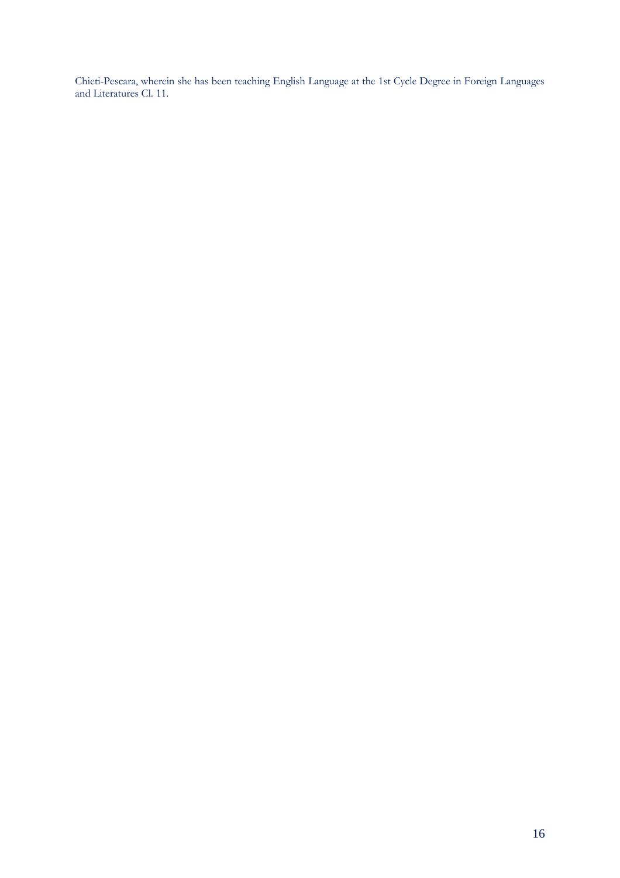Chieti-Pescara, wherein she has been teaching English Language at the 1st Cycle Degree in Foreign Languages and Literatures Cl. 11.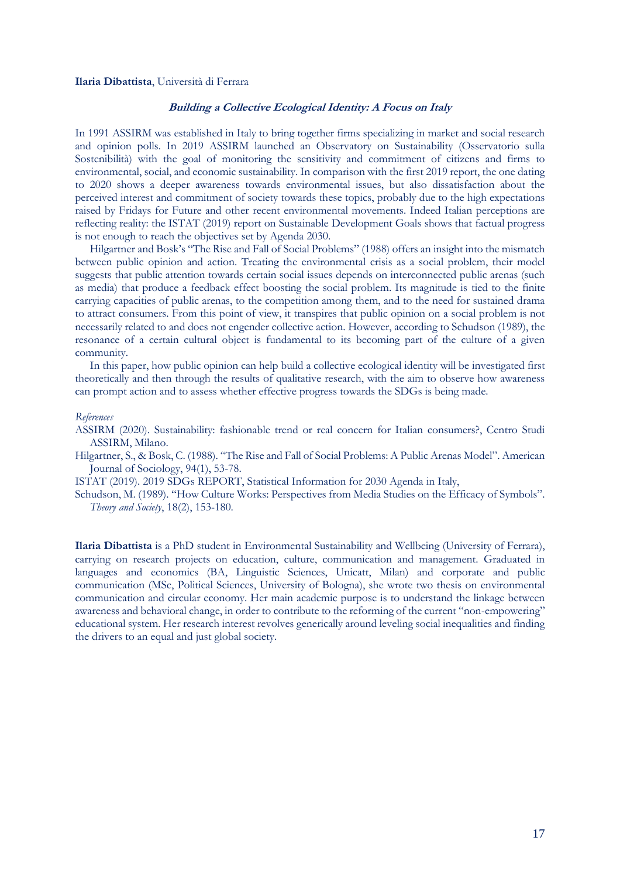#### <span id="page-18-0"></span>**Ilaria Dibattista**, Università di Ferrara

# **Building a Collective Ecological Identity: A Focus on Italy**

In 1991 ASSIRM was established in Italy to bring together firms specializing in market and social research and opinion polls. In 2019 ASSIRM launched an Observatory on Sustainability (Osservatorio sulla Sostenibilità) with the goal of monitoring the sensitivity and commitment of citizens and firms to environmental, social, and economic sustainability. In comparison with the first 2019 report, the one dating to 2020 shows a deeper awareness towards environmental issues, but also dissatisfaction about the perceived interest and commitment of society towards these topics, probably due to the high expectations raised by Fridays for Future and other recent environmental movements. Indeed Italian perceptions are reflecting reality: the ISTAT (2019) report on Sustainable Development Goals shows that factual progress is not enough to reach the objectives set by Agenda 2030.

Hilgartner and Bosk's "The Rise and Fall of Social Problems" (1988) offers an insight into the mismatch between public opinion and action. Treating the environmental crisis as a social problem, their model suggests that public attention towards certain social issues depends on interconnected public arenas (such as media) that produce a feedback effect boosting the social problem. Its magnitude is tied to the finite carrying capacities of public arenas, to the competition among them, and to the need for sustained drama to attract consumers. From this point of view, it transpires that public opinion on a social problem is not necessarily related to and does not engender collective action. However, according to Schudson (1989), the resonance of a certain cultural object is fundamental to its becoming part of the culture of a given community.

In this paper, how public opinion can help build a collective ecological identity will be investigated first theoretically and then through the results of qualitative research, with the aim to observe how awareness can prompt action and to assess whether effective progress towards the SDGs is being made.

#### *References*

ASSIRM (2020). Sustainability: fashionable trend or real concern for Italian consumers?, Centro Studi ASSIRM, Milano.

Hilgartner, S., & Bosk, C. (1988). "The Rise and Fall of Social Problems: A Public Arenas Model". American Journal of Sociology, 94(1), 53-78.

ISTAT (2019). 2019 SDGs REPORT, Statistical Information for 2030 Agenda in Italy,

Schudson, M. (1989). "How Culture Works: Perspectives from Media Studies on the Efficacy of Symbols". *Theory and Society*, 18(2), 153-180.

**Ilaria Dibattista** is a PhD student in Environmental Sustainability and Wellbeing (University of Ferrara), carrying on research projects on education, culture, communication and management. Graduated in languages and economics (BA, Linguistic Sciences, Unicatt, Milan) and corporate and public communication (MSc, Political Sciences, University of Bologna), she wrote two thesis on environmental communication and circular economy. Her main academic purpose is to understand the linkage between awareness and behavioral change, in order to contribute to the reforming of the current "non-empowering" educational system. Her research interest revolves generically around leveling social inequalities and finding the drivers to an equal and just global society.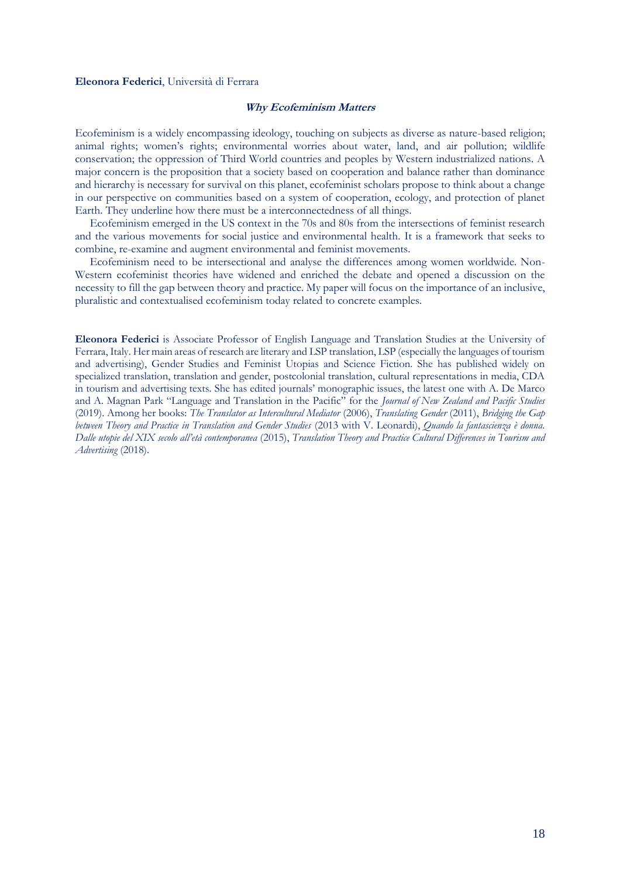#### <span id="page-19-0"></span>**Eleonora Federici**, Università di Ferrara

#### **Why Ecofeminism Matters**

Ecofeminism is a widely encompassing ideology, touching on subjects as diverse as nature-based religion; animal rights; women's rights; environmental worries about water, land, and air pollution; wildlife conservation; the oppression of Third World countries and peoples by Western industrialized nations. A major concern is the proposition that a society based on cooperation and balance rather than dominance and hierarchy is necessary for survival on this planet, ecofeminist scholars propose to think about a change in our perspective on communities based on a system of cooperation, ecology, and protection of planet Earth. They underline how there must be a interconnectedness of all things.

Ecofeminism emerged in the US context in the 70s and 80s from the intersections of feminist research and the various movements for social justice and environmental health. It is a framework that seeks to combine, re-examine and augment environmental and feminist movements.

Ecofeminism need to be intersectional and analyse the differences among women worldwide. Non-Western ecofeminist theories have widened and enriched the debate and opened a discussion on the necessity to fill the gap between theory and practice. My paper will focus on the importance of an inclusive, pluralistic and contextualised ecofeminism today related to concrete examples.

**Eleonora Federici** is Associate Professor of English Language and Translation Studies at the University of Ferrara, Italy. Her main areas of research are literary and LSP translation, LSP (especially the languages of tourism and advertising), Gender Studies and Feminist Utopias and Science Fiction. She has published widely on specialized translation, translation and gender, postcolonial translation, cultural representations in media, CDA in tourism and advertising texts. She has edited journals' monographic issues, the latest one with A. De Marco and A. Magnan Park "Language and Translation in the Pacific" for the *Journal of New Zealand and Pacific Studies* (2019). Among her books: *The Translator as Intercultural Mediator* (2006), *Translating Gender* (2011), *Bridging the Gap between Theory and Practice in Translation and Gender Studies* (2013 with V. Leonardi), *Quando la fantascienza è donna. Dalle utopie del XIX secolo all'età contemporanea* (2015), *Translation Theory and Practice Cultural Differences in Tourism and Advertising* (2018).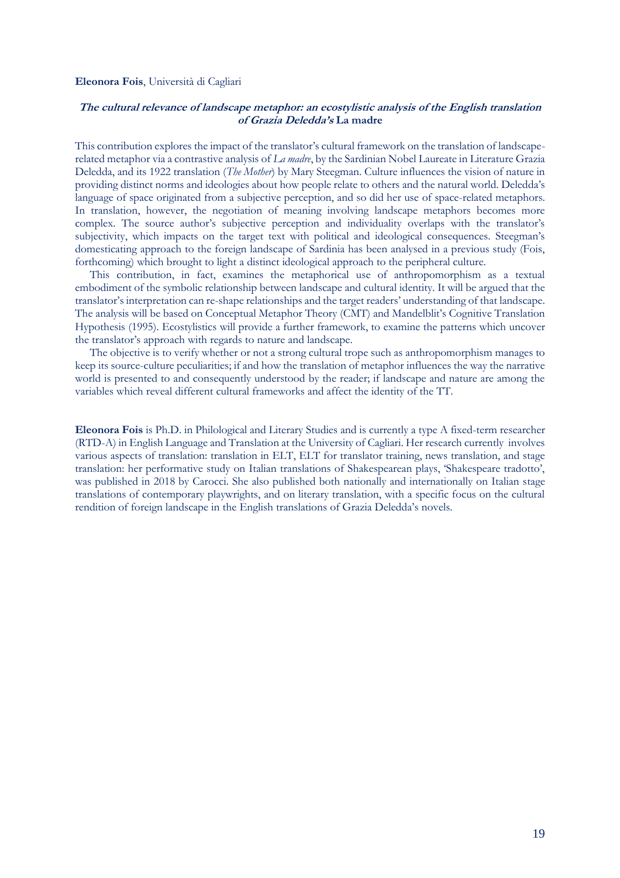#### <span id="page-20-0"></span>**Eleonora Fois**, Università di Cagliari

# **The cultural relevance of landscape metaphor: an ecostylistic analysis of the English translation of Grazia Deledda's La madre**

This contribution explores the impact of the translator's cultural framework on the translation of landscaperelated metaphor via a contrastive analysis of *La madre*, by the Sardinian Nobel Laureate in Literature Grazia Deledda, and its 1922 translation (*The Mother*) by Mary Steegman. Culture influences the vision of nature in providing distinct norms and ideologies about how people relate to others and the natural world. Deledda's language of space originated from a subjective perception, and so did her use of space-related metaphors. In translation, however, the negotiation of meaning involving landscape metaphors becomes more complex. The source author's subjective perception and individuality overlaps with the translator's subjectivity, which impacts on the target text with political and ideological consequences. Steegman's domesticating approach to the foreign landscape of Sardinia has been analysed in a previous study (Fois, forthcoming) which brought to light a distinct ideological approach to the peripheral culture.

This contribution, in fact, examines the metaphorical use of anthropomorphism as a textual embodiment of the symbolic relationship between landscape and cultural identity. It will be argued that the translator's interpretation can re-shape relationships and the target readers' understanding of that landscape. The analysis will be based on Conceptual Metaphor Theory (CMT) and Mandelblit's Cognitive Translation Hypothesis (1995). Ecostylistics will provide a further framework, to examine the patterns which uncover the translator's approach with regards to nature and landscape.

The objective is to verify whether or not a strong cultural trope such as anthropomorphism manages to keep its source-culture peculiarities; if and how the translation of metaphor influences the way the narrative world is presented to and consequently understood by the reader; if landscape and nature are among the variables which reveal different cultural frameworks and affect the identity of the TT.

**Eleonora Fois** is Ph.D. in Philological and Literary Studies and is currently a type A fixed-term researcher (RTD-A) in English Language and Translation at the University of Cagliari. Her research currently involves various aspects of translation: translation in ELT, ELT for translator training, news translation, and stage translation: her performative study on Italian translations of Shakespearean plays, 'Shakespeare tradotto', was published in 2018 by Carocci. She also published both nationally and internationally on Italian stage translations of contemporary playwrights, and on literary translation, with a specific focus on the cultural rendition of foreign landscape in the English translations of Grazia Deledda's novels.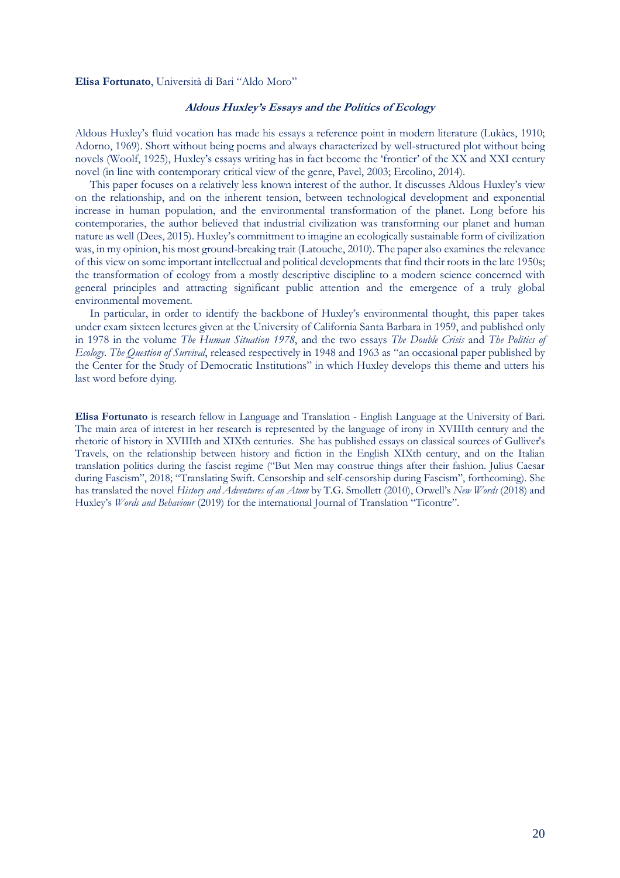#### <span id="page-21-0"></span>**Elisa Fortunato**, Università di Bari "Aldo Moro"

# **Aldous Huxley's Essays and the Politics of Ecology**

Aldous Huxley's fluid vocation has made his essays a reference point in modern literature (Lukàcs, 1910; Adorno, 1969). Short without being poems and always characterized by well-structured plot without being novels (Woolf, 1925), Huxley's essays writing has in fact become the 'frontier' of the XX and XXI century novel (in line with contemporary critical view of the genre, Pavel, 2003; Ercolino, 2014).

This paper focuses on a relatively less known interest of the author. It discusses Aldous Huxley's view on the relationship, and on the inherent tension, between technological development and exponential increase in human population, and the environmental transformation of the planet. Long before his contemporaries, the author believed that industrial civilization was transforming our planet and human nature as well (Dees, 2015). Huxley's commitment to imagine an ecologically sustainable form of civilization was, in my opinion, his most ground-breaking trait (Latouche, 2010). The paper also examines the relevance of this view on some important intellectual and political developments that find their roots in the late 1950s; the transformation of ecology from a mostly descriptive discipline to a modern science concerned with general principles and attracting significant public attention and the emergence of a truly global environmental movement.

In particular, in order to identify the backbone of Huxley's environmental thought, this paper takes under exam sixteen lectures given at the University of California Santa Barbara in 1959, and published only in 1978 in the volume *The Human Situation 1978*, and the two essays *The Double Crisis* and *The Politics of Ecology. The Question of Survival*, released respectively in 1948 and 1963 as "an occasional paper published by the Center for the Study of Democratic Institutions" in which Huxley develops this theme and utters his last word before dying.

**Elisa Fortunato** is research fellow in Language and Translation - English Language at the University of Bari. The main area of interest in her research is represented by the language of irony in XVIIIth century and the rhetoric of history in XVIIIth and XIXth centuries. She has published essays on classical sources of Gulliver's Travels, on the relationship between history and fiction in the English XIXth century, and on the Italian translation politics during the fascist regime ("But Men may construe things after their fashion. Julius Caesar during Fascism", 2018; "Translating Swift. Censorship and self-censorship during Fascism", forthcoming). She has translated the novel *History and Adventures of an Atom* by T.G. Smollett (2010), Orwell's *New Words* (2018) and Huxley's *Words and Behaviour* (2019) for the international Journal of Translation "Ticontre".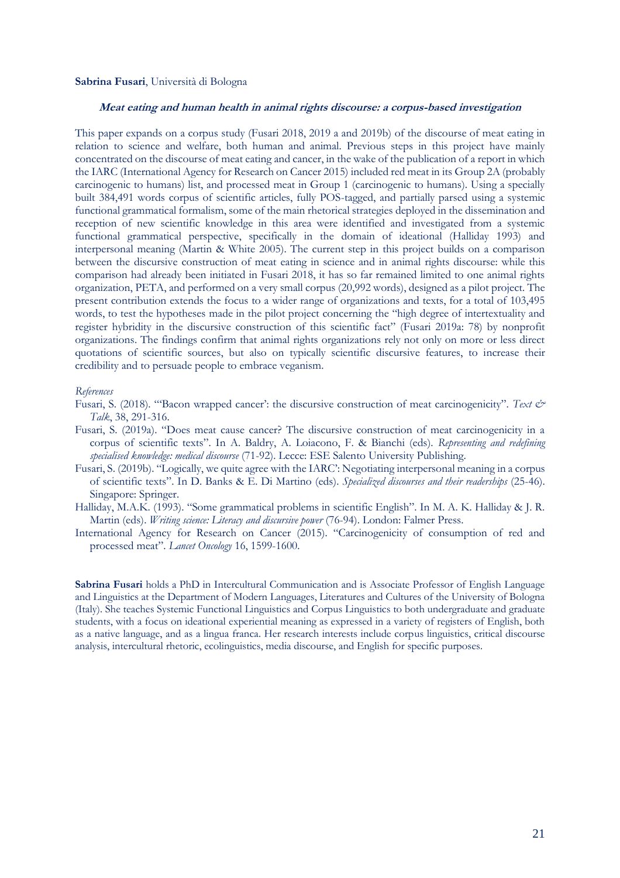#### **Sabrina Fusari**, Università di Bologna

# <span id="page-22-0"></span>**Meat eating and human health in animal rights discourse: a corpus-based investigation**

This paper expands on a corpus study (Fusari 2018, 2019 a and 2019b) of the discourse of meat eating in relation to science and welfare, both human and animal. Previous steps in this project have mainly concentrated on the discourse of meat eating and cancer, in the wake of the publication of a report in which the IARC (International Agency for Research on Cancer 2015) included red meat in its Group 2A (probably carcinogenic to humans) list, and processed meat in Group 1 (carcinogenic to humans). Using a specially built 384,491 words corpus of scientific articles, fully POS-tagged, and partially parsed using a systemic functional grammatical formalism, some of the main rhetorical strategies deployed in the dissemination and reception of new scientific knowledge in this area were identified and investigated from a systemic functional grammatical perspective, specifically in the domain of ideational (Halliday 1993) and interpersonal meaning (Martin & White 2005). The current step in this project builds on a comparison between the discursive construction of meat eating in science and in animal rights discourse: while this comparison had already been initiated in Fusari 2018, it has so far remained limited to one animal rights organization, PETA, and performed on a very small corpus (20,992 words), designed as a pilot project. The present contribution extends the focus to a wider range of organizations and texts, for a total of 103,495 words, to test the hypotheses made in the pilot project concerning the "high degree of intertextuality and register hybridity in the discursive construction of this scientific fact" (Fusari 2019a: 78) by nonprofit organizations. The findings confirm that animal rights organizations rely not only on more or less direct quotations of scientific sources, but also on typically scientific discursive features, to increase their credibility and to persuade people to embrace veganism.

#### *References*

- Fusari, S. (2018). "'Bacon wrapped cancer': the discursive construction of meat carcinogenicity". *Text & Talk*, 38, 291-316.
- Fusari, S. (2019a). "Does meat cause cancer? The discursive construction of meat carcinogenicity in a corpus of scientific texts". In A. Baldry, A. Loiacono, F. & Bianchi (eds). *Representing and redefining specialised knowledge: medical discourse* (71-92). Lecce: ESE Salento University Publishing.
- Fusari, S. (2019b). "Logically, we quite agree with the IARC': Negotiating interpersonal meaning in a corpus of scientific texts". In D. Banks & E. Di Martino (eds). *Specialized discourses and their readerships* (25-46). Singapore: Springer.
- Halliday, M.A.K. (1993). "Some grammatical problems in scientific English". In M. A. K. Halliday & J. R. Martin (eds). *Writing science: Literacy and discursive power* (76-94). London: Falmer Press.
- International Agency for Research on Cancer (2015). "Carcinogenicity of consumption of red and processed meat". *Lancet Oncology* 16, 1599-1600.

**Sabrina Fusari** holds a PhD in Intercultural Communication and is Associate Professor of English Language and Linguistics at the Department of Modern Languages, Literatures and Cultures of the University of Bologna (Italy). She teaches Systemic Functional Linguistics and Corpus Linguistics to both undergraduate and graduate students, with a focus on ideational experiential meaning as expressed in a variety of registers of English, both as a native language, and as a lingua franca. Her research interests include corpus linguistics, critical discourse analysis, intercultural rhetoric, ecolinguistics, media discourse, and English for specific purposes.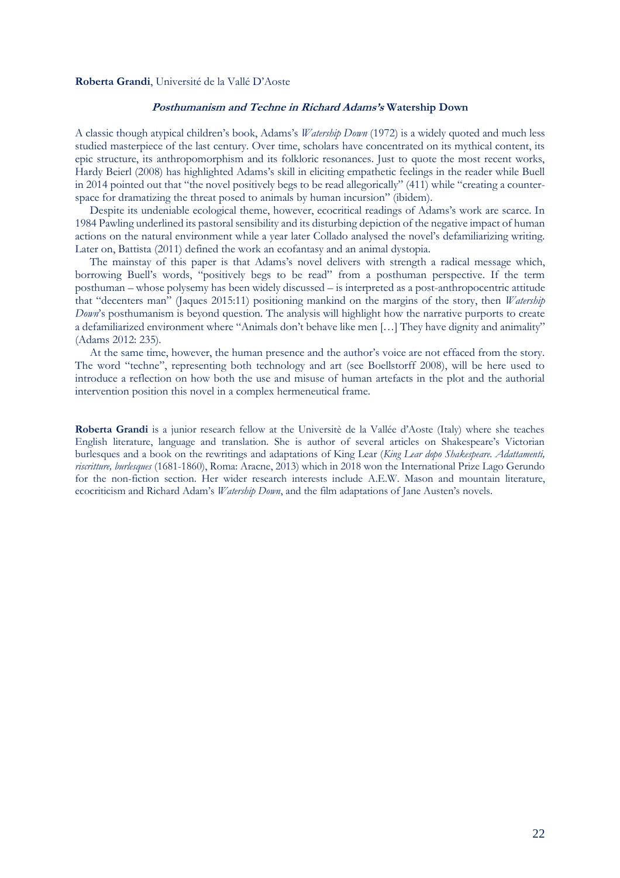#### <span id="page-23-0"></span>**Roberta Grandi**, Université de la Vallé D'Aoste

# **Posthumanism and Techne in Richard Adams's Watership Down**

A classic though atypical children's book, Adams's *Watership Down* (1972) is a widely quoted and much less studied masterpiece of the last century. Over time, scholars have concentrated on its mythical content, its epic structure, its anthropomorphism and its folkloric resonances. Just to quote the most recent works, Hardy Beierl (2008) has highlighted Adams's skill in eliciting empathetic feelings in the reader while Buell in 2014 pointed out that "the novel positively begs to be read allegorically" (411) while "creating a counterspace for dramatizing the threat posed to animals by human incursion" (ibidem).

Despite its undeniable ecological theme, however, ecocritical readings of Adams's work are scarce. In 1984 Pawling underlined its pastoral sensibility and its disturbing depiction of the negative impact of human actions on the natural environment while a year later Collado analysed the novel's defamiliarizing writing. Later on, Battista (2011) defined the work an ecofantasy and an animal dystopia.

The mainstay of this paper is that Adams's novel delivers with strength a radical message which, borrowing Buell's words, "positively begs to be read" from a posthuman perspective. If the term posthuman – whose polysemy has been widely discussed – is interpreted as a post-anthropocentric attitude that "decenters man" (Jaques 2015:11) positioning mankind on the margins of the story, then *Watership Down*'s posthumanism is beyond question. The analysis will highlight how the narrative purports to create a defamiliarized environment where "Animals don't behave like men […] They have dignity and animality" (Adams 2012: 235).

At the same time, however, the human presence and the author's voice are not effaced from the story. The word "techne", representing both technology and art (see Boellstorff 2008), will be here used to introduce a reflection on how both the use and misuse of human artefacts in the plot and the authorial intervention position this novel in a complex hermeneutical frame.

**Roberta Grandi** is a junior research fellow at the Universitè de la Vallée d'Aoste (Italy) where she teaches English literature, language and translation. She is author of several articles on Shakespeare's Victorian burlesques and a book on the rewritings and adaptations of King Lear (*King Lear dopo Shakespeare. Adattamenti, riscritture, burlesques* (1681-1860), Roma: Aracne, 2013) which in 2018 won the International Prize Lago Gerundo for the non-fiction section. Her wider research interests include A.E.W. Mason and mountain literature, ecocriticism and Richard Adam's *Watership Down*, and the film adaptations of Jane Austen's novels.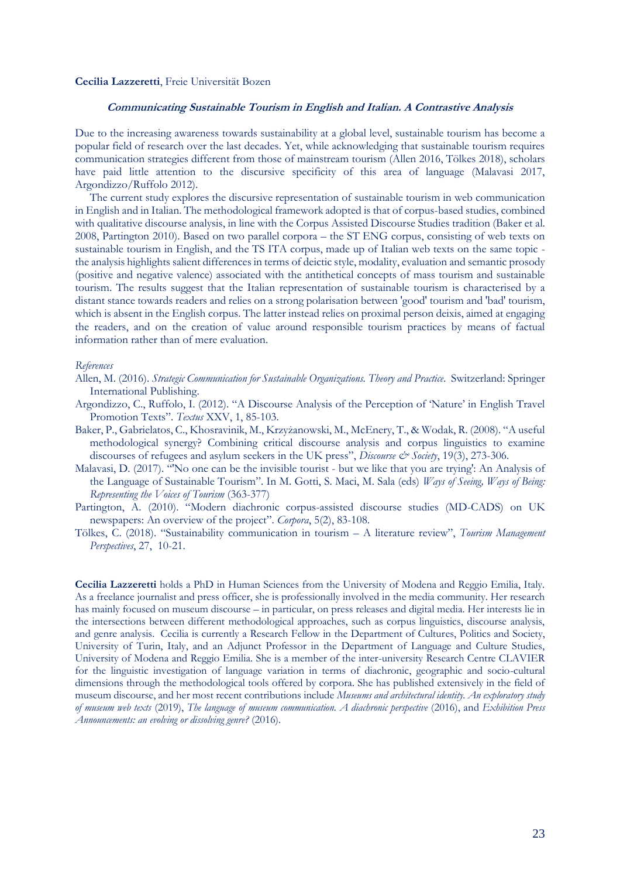#### **Cecilia Lazzeretti**, Freie Universität Bozen

# <span id="page-24-0"></span>**Communicating Sustainable Tourism in English and Italian. A Contrastive Analysis**

Due to the increasing awareness towards sustainability at a global level, sustainable tourism has become a popular field of research over the last decades. Yet, while acknowledging that sustainable tourism requires communication strategies different from those of mainstream tourism (Allen 2016, Tölkes 2018), scholars have paid little attention to the discursive specificity of this area of language (Malavasi 2017, Argondizzo/Ruffolo 2012).

The current study explores the discursive representation of sustainable tourism in web communication in English and in Italian. The methodological framework adopted is that of corpus-based studies, combined with qualitative discourse analysis, in line with the Corpus Assisted Discourse Studies tradition (Baker et al. 2008, Partington 2010). Based on two parallel corpora – the ST ENG corpus, consisting of web texts on sustainable tourism in English, and the TS ITA corpus, made up of Italian web texts on the same topic the analysis highlights salient differences in terms of deictic style, modality, evaluation and semantic prosody (positive and negative valence) associated with the antithetical concepts of mass tourism and sustainable tourism. The results suggest that the Italian representation of sustainable tourism is characterised by a distant stance towards readers and relies on a strong polarisation between 'good' tourism and 'bad' tourism, which is absent in the English corpus. The latter instead relies on proximal person deixis, aimed at engaging the readers, and on the creation of value around responsible tourism practices by means of factual information rather than of mere evaluation.

#### *References*

- Allen, M. (2016). *Strategic Communication for Sustainable Organizations. Theory and Practice*. Switzerland: Springer International Publishing.
- Argondizzo, C., Ruffolo, I. (2012). "A Discourse Analysis of the Perception of 'Nature' in English Travel Promotion Texts". *Textus* XXV, 1, 85-103.
- Baker, P., Gabrielatos, C., Khosravinik, M., Krzyżanowski, M., McEnery, T., & Wodak, R. (2008). "A useful methodological synergy? Combining critical discourse analysis and corpus linguistics to examine discourses of refugees and asylum seekers in the UK press", *Discourse & Society*, 19(3), 273-306.
- Malavasi, D. (2017). "'No one can be the invisible tourist but we like that you are trying': An Analysis of the Language of Sustainable Tourism". In M. Gotti, S. Maci, M. Sala (eds) *Ways of Seeing, Ways of Being: Representing the Voices of Tourism* (363-377)
- Partington, A. (2010). "Modern diachronic corpus-assisted discourse studies (MD-CADS) on UK newspapers: An overview of the project". *Corpora*, 5(2), 83-108.
- Tölkes, C. (2018). "Sustainability communication in tourism A literature review", *Tourism Management Perspectives*, 27, 10-21.

**Cecilia Lazzeretti** holds a PhD in Human Sciences from the University of Modena and Reggio Emilia, Italy. As a freelance journalist and press officer, she is professionally involved in the media community. Her research has mainly focused on museum discourse – in particular, on press releases and digital media. Her interests lie in the intersections between different methodological approaches, such as corpus linguistics, discourse analysis, and genre analysis. Cecilia is currently a Research Fellow in the Department of Cultures, Politics and Society, University of Turin, Italy, and an Adjunct Professor in the Department of Language and Culture Studies, University of Modena and Reggio Emilia. She is a member of the inter-university Research Centre CLAVIER for the linguistic investigation of language variation in terms of diachronic, geographic and socio-cultural dimensions through the methodological tools offered by corpora. She has published extensively in the field of museum discourse, and her most recent contributions include *Museums and architectural identity. An exploratory study of museum web texts* (2019), *The language of museum communication. A diachronic perspective* (2016), and *Exhibition Press Announcements: an evolving or dissolving genre?* (2016).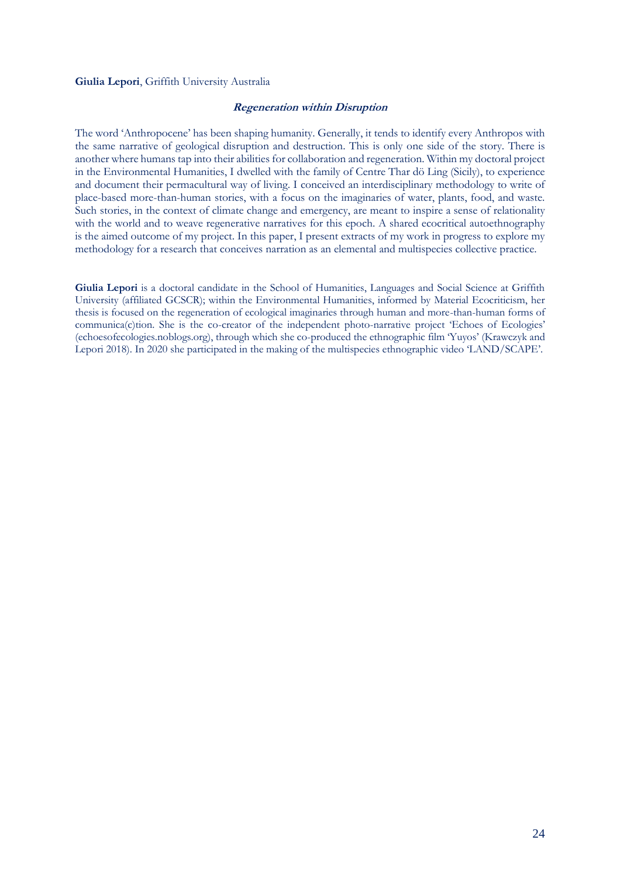# <span id="page-25-0"></span>**Giulia Lepori**, Griffith University Australia

# **Regeneration within Disruption**

The word 'Anthropocene' has been shaping humanity. Generally, it tends to identify every Anthropos with the same narrative of geological disruption and destruction. This is only one side of the story. There is another where humans tap into their abilities for collaboration and regeneration. Within my doctoral project in the Environmental Humanities, I dwelled with the family of Centre Thar dö Ling (Sicily), to experience and document their permacultural way of living. I conceived an interdisciplinary methodology to write of place-based more-than-human stories, with a focus on the imaginaries of water, plants, food, and waste. Such stories, in the context of climate change and emergency, are meant to inspire a sense of relationality with the world and to weave regenerative narratives for this epoch. A shared ecocritical autoethnography is the aimed outcome of my project. In this paper, I present extracts of my work in progress to explore my methodology for a research that conceives narration as an elemental and multispecies collective practice.

**Giulia Lepori** is a doctoral candidate in the School of Humanities, Languages and Social Science at Griffith University (affiliated GCSCR); within the Environmental Humanities, informed by Material Ecocriticism, her thesis is focused on the regeneration of ecological imaginaries through human and more-than-human forms of communica(c)tion. She is the co-creator of the independent photo-narrative project 'Echoes of Ecologies' (echoesofecologies.noblogs.org), through which she co-produced the ethnographic film 'Yuyos' (Krawczyk and Lepori 2018). In 2020 she participated in the making of the multispecies ethnographic video 'LAND/SCAPE'.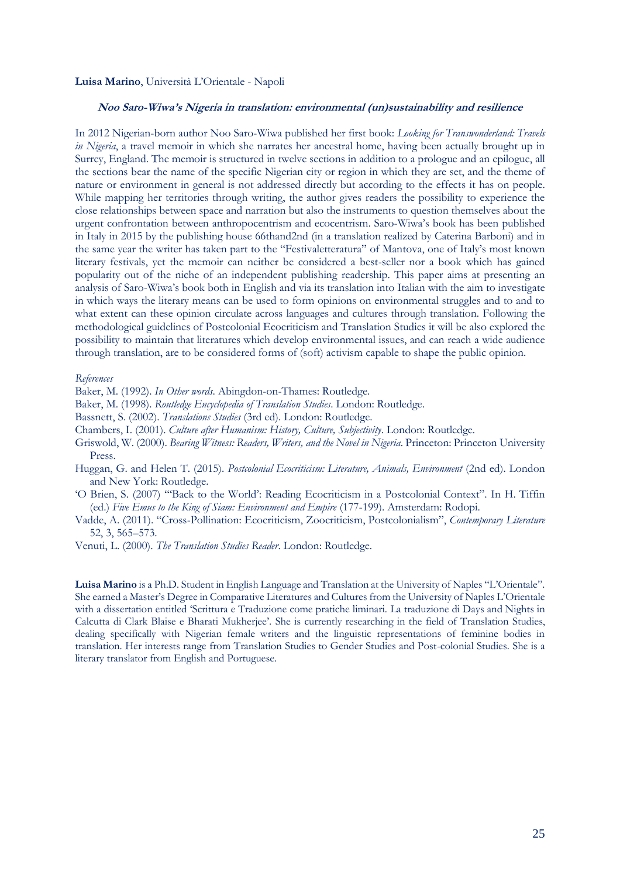#### **Luisa Marino**, Università L'Orientale - Napoli

# <span id="page-26-0"></span>**Noo Saro-Wiwa's Nigeria in translation: environmental (un)sustainability and resilience**

In 2012 Nigerian-born author Noo Saro-Wiwa published her first book: *Looking for Transwonderland: Travels in Nigeria*, a travel memoir in which she narrates her ancestral home, having been actually brought up in Surrey, England. The memoir is structured in twelve sections in addition to a prologue and an epilogue, all the sections bear the name of the specific Nigerian city or region in which they are set, and the theme of nature or environment in general is not addressed directly but according to the effects it has on people. While mapping her territories through writing, the author gives readers the possibility to experience the close relationships between space and narration but also the instruments to question themselves about the urgent confrontation between anthropocentrism and ecocentrism. Saro-Wiwa's book has been published in Italy in 2015 by the publishing house 66thand2nd (in a translation realized by Caterina Barboni) and in the same year the writer has taken part to the "Festivaletteratura" of Mantova, one of Italy's most known literary festivals, yet the memoir can neither be considered a best-seller nor a book which has gained popularity out of the niche of an independent publishing readership. This paper aims at presenting an analysis of Saro-Wiwa's book both in English and via its translation into Italian with the aim to investigate in which ways the literary means can be used to form opinions on environmental struggles and to and to what extent can these opinion circulate across languages and cultures through translation. Following the methodological guidelines of Postcolonial Ecocriticism and Translation Studies it will be also explored the possibility to maintain that literatures which develop environmental issues, and can reach a wide audience through translation, are to be considered forms of (soft) activism capable to shape the public opinion.

#### *References*

Baker, M. (1992). *In Other words*. Abingdon-on-Thames: Routledge.

Baker, M. (1998). *Routledge Encyclopedia of Translation Studies*. London: Routledge.

- Bassnett, S. (2002). *Translations Studies* (3rd ed). London: Routledge.
- Chambers, I. (2001). *Culture after Humanism: History, Culture, Subjectivity*. London: Routledge.
- Griswold, W. (2000). *Bearing Witness: Readers, Writers, and the Novel in Nigeria*. Princeton: Princeton University Press.
- Huggan, G. and Helen T. (2015). *Postcolonial Ecocriticism: Literature, Animals, Environment* (2nd ed). London and New York: Routledge.
- 'O Brien, S. (2007) "'Back to the World': Reading Ecocriticism in a Postcolonial Context". In H. Tiffin (ed.) *Five Emus to the King of Siam: Environment and Empire* (177-199). Amsterdam: Rodopi.
- Vadde, A. (2011). "Cross-Pollination: Ecocriticism, Zoocriticism, Postcolonialism", *Contemporary Literature*  52, 3, 565–573.
- Venuti, L. (2000). *The Translation Studies Reader*. London: Routledge.

**Luisa Marino** is a Ph.D. Student in English Language and Translation at the University of Naples "L'Orientale". She earned a Master's Degree in Comparative Literatures and Cultures from the University of Naples L'Orientale with a dissertation entitled 'Scrittura e Traduzione come pratiche liminari. La traduzione di Days and Nights in Calcutta di Clark Blaise e Bharati Mukherjee'. She is currently researching in the field of Translation Studies, dealing specifically with Nigerian female writers and the linguistic representations of feminine bodies in translation. Her interests range from Translation Studies to Gender Studies and Post-colonial Studies. She is a literary translator from English and Portuguese.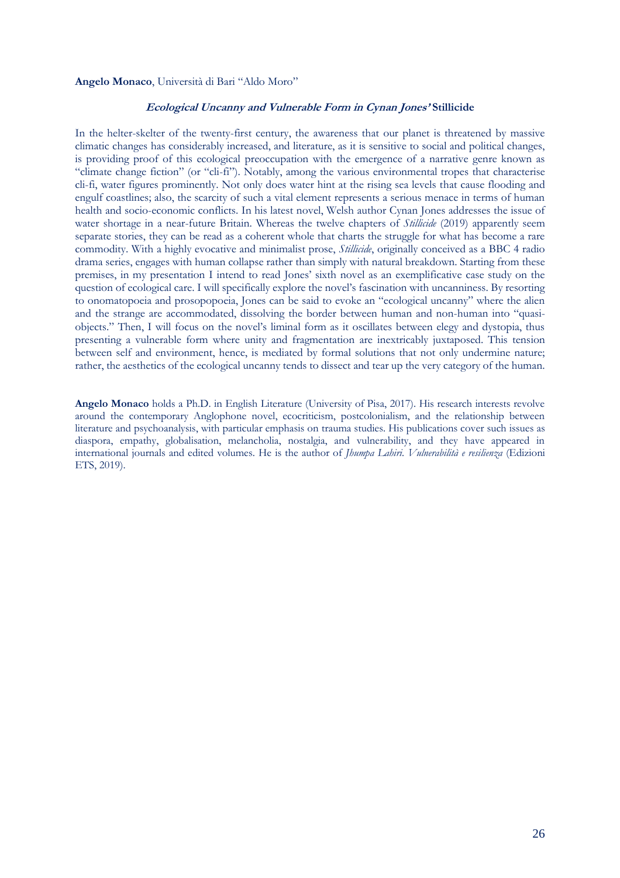# <span id="page-27-0"></span>**Angelo Monaco**, Università di Bari "Aldo Moro"

# **Ecological Uncanny and Vulnerable Form in Cynan Jones' Stillicide**

In the helter-skelter of the twenty-first century, the awareness that our planet is threatened by massive climatic changes has considerably increased, and literature, as it is sensitive to social and political changes, is providing proof of this ecological preoccupation with the emergence of a narrative genre known as "climate change fiction" (or "cli-fi"). Notably, among the various environmental tropes that characterise cli-fi, water figures prominently. Not only does water hint at the rising sea levels that cause flooding and engulf coastlines; also, the scarcity of such a vital element represents a serious menace in terms of human health and socio-economic conflicts. In his latest novel, Welsh author Cynan Jones addresses the issue of water shortage in a near-future Britain. Whereas the twelve chapters of *Stillicide* (2019) apparently seem separate stories, they can be read as a coherent whole that charts the struggle for what has become a rare commodity. With a highly evocative and minimalist prose, *Stillicide*, originally conceived as a BBC 4 radio drama series, engages with human collapse rather than simply with natural breakdown. Starting from these premises, in my presentation I intend to read Jones' sixth novel as an exemplificative case study on the question of ecological care. I will specifically explore the novel's fascination with uncanniness. By resorting to onomatopoeia and prosopopoeia, Jones can be said to evoke an "ecological uncanny" where the alien and the strange are accommodated, dissolving the border between human and non-human into "quasiobjects." Then, I will focus on the novel's liminal form as it oscillates between elegy and dystopia, thus presenting a vulnerable form where unity and fragmentation are inextricably juxtaposed. This tension between self and environment, hence, is mediated by formal solutions that not only undermine nature; rather, the aesthetics of the ecological uncanny tends to dissect and tear up the very category of the human.

**Angelo Monaco** holds a Ph.D. in English Literature (University of Pisa, 2017). His research interests revolve around the contemporary Anglophone novel, ecocriticism, postcolonialism, and the relationship between literature and psychoanalysis, with particular emphasis on trauma studies. His publications cover such issues as diaspora, empathy, globalisation, melancholia, nostalgia, and vulnerability, and they have appeared in international journals and edited volumes. He is the author of *Jhumpa Lahiri. Vulnerabilità e resilienza* (Edizioni ETS, 2019).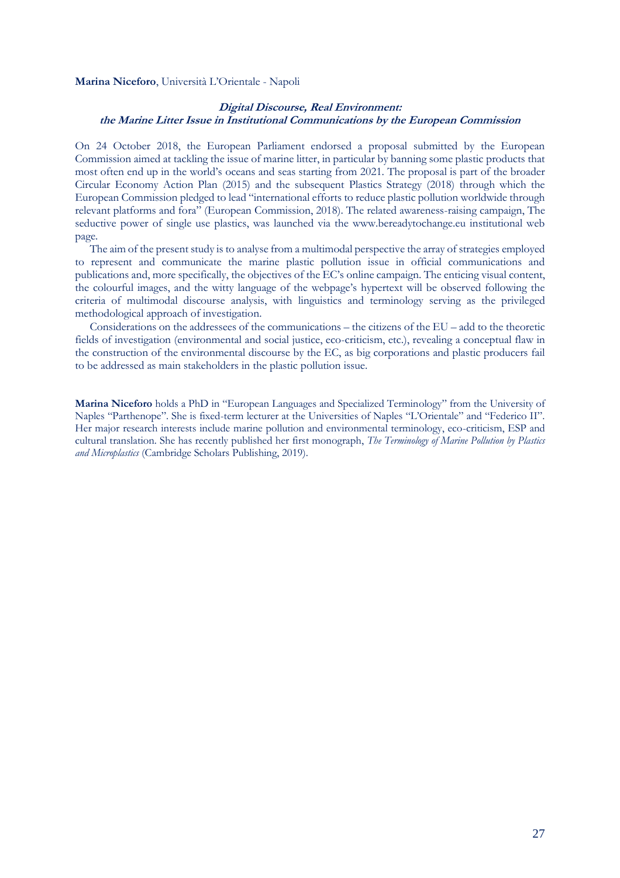#### **Marina Niceforo**, Università L'Orientale - Napoli

# <span id="page-28-0"></span>**Digital Discourse, Real Environment: the Marine Litter Issue in Institutional Communications by the European Commission**

On 24 October 2018, the European Parliament endorsed a proposal submitted by the European Commission aimed at tackling the issue of marine litter, in particular by banning some plastic products that most often end up in the world's oceans and seas starting from 2021. The proposal is part of the broader Circular Economy Action Plan (2015) and the subsequent Plastics Strategy (2018) through which the European Commission pledged to lead "international efforts to reduce plastic pollution worldwide through relevant platforms and fora" (European Commission, 2018). The related awareness-raising campaign, The seductive power of single use plastics, was launched via the www.bereadytochange.eu institutional web page.

The aim of the present study is to analyse from a multimodal perspective the array of strategies employed to represent and communicate the marine plastic pollution issue in official communications and publications and, more specifically, the objectives of the EC's online campaign. The enticing visual content, the colourful images, and the witty language of the webpage's hypertext will be observed following the criteria of multimodal discourse analysis, with linguistics and terminology serving as the privileged methodological approach of investigation.

Considerations on the addressees of the communications – the citizens of the EU – add to the theoretic fields of investigation (environmental and social justice, eco-criticism, etc.), revealing a conceptual flaw in the construction of the environmental discourse by the EC, as big corporations and plastic producers fail to be addressed as main stakeholders in the plastic pollution issue.

**Marina Niceforo** holds a PhD in "European Languages and Specialized Terminology" from the University of Naples "Parthenope". She is fixed-term lecturer at the Universities of Naples "L'Orientale" and "Federico II". Her major research interests include marine pollution and environmental terminology, eco-criticism, ESP and cultural translation. She has recently published her first monograph, *The Terminology of Marine Pollution by Plastics and Microplastics* (Cambridge Scholars Publishing, 2019).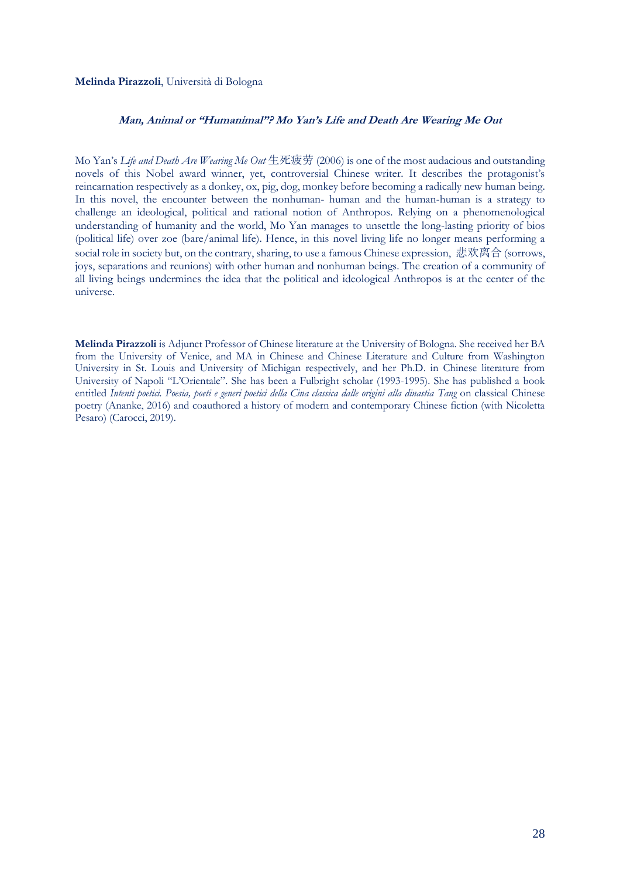# **Melinda Pirazzoli**, Università di Bologna

# <span id="page-29-0"></span>**Man, Animal or "Humanimal"? Mo Yan's Life and Death Are Wearing Me Out**

Mo Yan's *Life and Death Are Wearing Me Out* 生死疲劳 (2006) is one of the most audacious and outstanding novels of this Nobel award winner, yet, controversial Chinese writer. It describes the protagonist's reincarnation respectively as a donkey, ox, pig, dog, monkey before becoming a radically new human being. In this novel, the encounter between the nonhuman- human and the human-human is a strategy to challenge an ideological, political and rational notion of Anthropos. Relying on a phenomenological understanding of humanity and the world, Mo Yan manages to unsettle the long-lasting priority of bios (political life) over zoe (bare/animal life). Hence, in this novel living life no longer means performing a social role in society but, on the contrary, sharing, to use a famous Chinese expression, 悲欢离合 (sorrows, joys, separations and reunions) with other human and nonhuman beings. The creation of a community of all living beings undermines the idea that the political and ideological Anthropos is at the center of the universe.

**Melinda Pirazzoli** is Adjunct Professor of Chinese literature at the University of Bologna. She received her BA from the University of Venice, and MA in Chinese and Chinese Literature and Culture from Washington University in St. Louis and University of Michigan respectively, and her Ph.D. in Chinese literature from University of Napoli "L'Orientale". She has been a Fulbright scholar (1993-1995). She has published a book entitled *Intenti poetici. Poesia, poeti e generi poetici della Cina classica dalle origini alla dinastia Tang* on classical Chinese poetry (Ananke, 2016) and coauthored a history of modern and contemporary Chinese fiction (with Nicoletta Pesaro) (Carocci, 2019).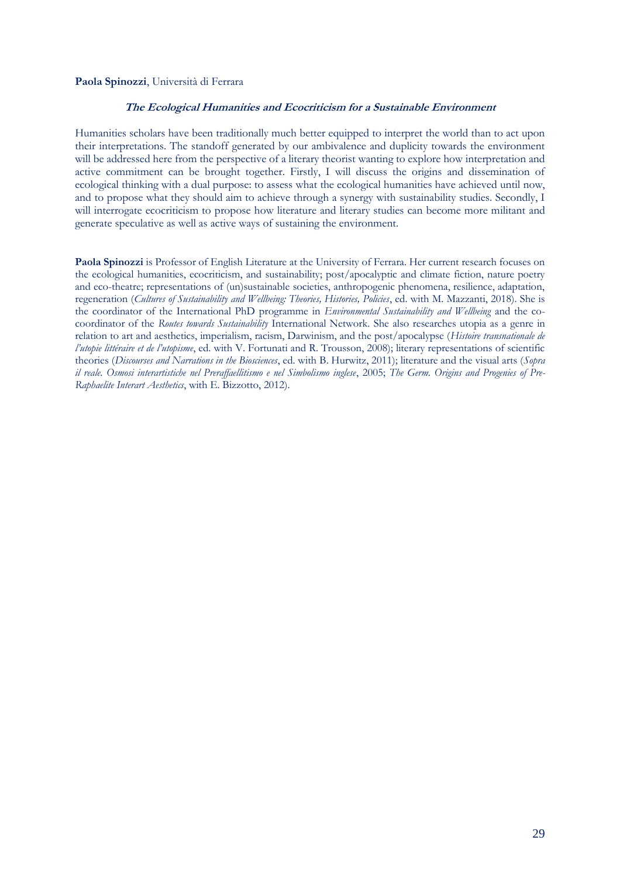# <span id="page-30-0"></span>**Paola Spinozzi**, Università di Ferrara

# **The Ecological Humanities and Ecocriticism for a Sustainable Environment**

Humanities scholars have been traditionally much better equipped to interpret the world than to act upon their interpretations. The standoff generated by our ambivalence and duplicity towards the environment will be addressed here from the perspective of a literary theorist wanting to explore how interpretation and active commitment can be brought together. Firstly, I will discuss the origins and dissemination of ecological thinking with a dual purpose: to assess what the ecological humanities have achieved until now, and to propose what they should aim to achieve through a synergy with sustainability studies. Secondly, I will interrogate ecocriticism to propose how literature and literary studies can become more militant and generate speculative as well as active ways of sustaining the environment.

**Paola Spinozzi** is Professor of English Literature at the University of Ferrara. Her current research focuses on the ecological humanities, ecocriticism, and sustainability; post/apocalyptic and climate fiction, nature poetry and eco-theatre; representations of (un)sustainable societies, anthropogenic phenomena, resilience, adaptation, regeneration (*Cultures of Sustainability and Wellbeing: Theories, Histories, Policies*, ed. with M. Mazzanti, 2018). She is the coordinator of the International PhD programme in *Environmental Sustainability and Wellbeing* and the cocoordinator of the *Routes towards Sustainability* International Network. She also researches utopia as a genre in relation to art and aesthetics, imperialism, racism, Darwinism, and the post/apocalypse (*Histoire transnationale de l'utopie littéraire et de l'utopisme*, ed. with V. Fortunati and R. Trousson, 2008); literary representations of scientific theories (*Discourses and Narrations in the Biosciences*, ed. with B. Hurwitz, 2011); literature and the visual arts (*Sopra il reale. Osmosi interartistiche nel Preraffaellitismo e nel Simbolismo inglese*, 2005; *The Germ. Origins and Progenies of Pre-Raphaelite Interart Aesthetics*, with E. Bizzotto, 2012).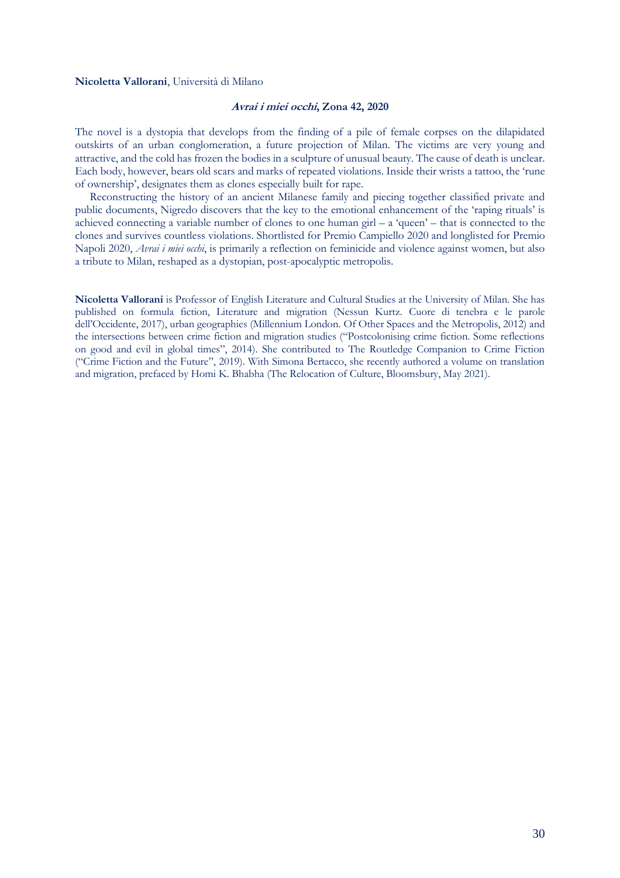#### <span id="page-31-0"></span>**Nicoletta Vallorani**, Università di Milano

#### **Avrai i miei occhi, Zona 42, 2020**

The novel is a dystopia that develops from the finding of a pile of female corpses on the dilapidated outskirts of an urban conglomeration, a future projection of Milan. The victims are very young and attractive, and the cold has frozen the bodies in a sculpture of unusual beauty. The cause of death is unclear. Each body, however, bears old scars and marks of repeated violations. Inside their wrists a tattoo, the 'rune of ownership', designates them as clones especially built for rape.

Reconstructing the history of an ancient Milanese family and piecing together classified private and public documents, Nigredo discovers that the key to the emotional enhancement of the 'raping rituals' is achieved connecting a variable number of clones to one human girl  $-$  a 'queen'  $-$  that is connected to the clones and survives countless violations. Shortlisted for Premio Campiello 2020 and longlisted for Premio Napoli 2020, *Avrai i miei occhi*, is primarily a reflection on feminicide and violence against women, but also a tribute to Milan, reshaped as a dystopian, post-apocalyptic metropolis.

**Nicoletta Vallorani** is Professor of English Literature and Cultural Studies at the University of Milan. She has published on formula fiction, Literature and migration (Nessun Kurtz. Cuore di tenebra e le parole dell'Occidente, 2017), urban geographies (Millennium London. Of Other Spaces and the Metropolis, 2012) and the intersections between crime fiction and migration studies ("Postcolonising crime fiction. Some reflections on good and evil in global times", 2014). She contributed to The Routledge Companion to Crime Fiction ("Crime Fiction and the Future", 2019). With Simona Bertacco, she recently authored a volume on translation and migration, prefaced by Homi K. Bhabha (The Relocation of Culture, Bloomsbury, May 2021).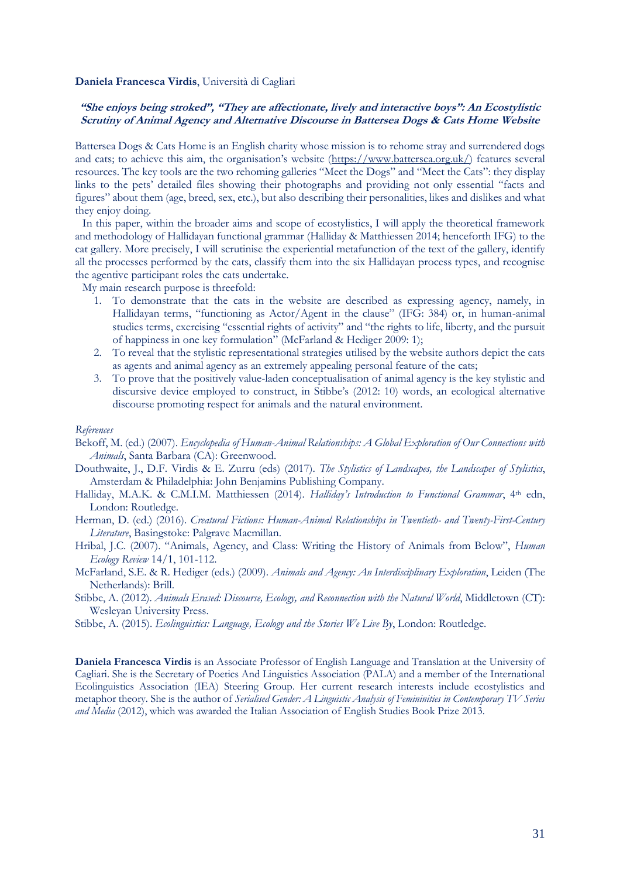#### **Daniela Francesca Virdis**, Università di Cagliari

# <span id="page-32-0"></span>**"She enjoys being stroked", "They are affectionate, lively and interactive boys": An Ecostylistic Scrutiny of Animal Agency and Alternative Discourse in Battersea Dogs & Cats Home Website**

Battersea Dogs & Cats Home is an English charity whose mission is to rehome stray and surrendered dogs and cats; to achieve this aim, the organisation's website ([https://www.battersea.org.uk/\)](https://www.battersea.org.uk/) features several resources. The key tools are the two rehoming galleries "Meet the Dogs" and "Meet the Cats": they display links to the pets' detailed files showing their photographs and providing not only essential "facts and figures" about them (age, breed, sex, etc.), but also describing their personalities, likes and dislikes and what they enjoy doing.

In this paper, within the broader aims and scope of ecostylistics, I will apply the theoretical framework and methodology of Hallidayan functional grammar (Halliday & Matthiessen 2014; henceforth IFG) to the cat gallery. More precisely, I will scrutinise the experiential metafunction of the text of the gallery, identify all the processes performed by the cats, classify them into the six Hallidayan process types, and recognise the agentive participant roles the cats undertake.

My main research purpose is threefold:

- 1. To demonstrate that the cats in the website are described as expressing agency, namely, in Hallidayan terms, "functioning as Actor/Agent in the clause" (IFG: 384) or, in human-animal studies terms, exercising "essential rights of activity" and "the rights to life, liberty, and the pursuit of happiness in one key formulation" (McFarland & Hediger 2009: 1);
- 2. To reveal that the stylistic representational strategies utilised by the website authors depict the cats as agents and animal agency as an extremely appealing personal feature of the cats;
- 3. To prove that the positively value-laden conceptualisation of animal agency is the key stylistic and discursive device employed to construct, in Stibbe's (2012: 10) words, an ecological alternative discourse promoting respect for animals and the natural environment.

#### *References*

- Bekoff, M. (ed.) (2007). *Encyclopedia of Human-Animal Relationships: A Global Exploration of Our Connections with Animals*, Santa Barbara (CA): Greenwood.
- Douthwaite, J., D.F. Virdis & E. Zurru (eds) (2017). *The Stylistics of Landscapes, the Landscapes of Stylistics*, Amsterdam & Philadelphia: John Benjamins Publishing Company.
- Halliday, M.A.K. & C.M.I.M. Matthiessen (2014). *Halliday's Introduction to Functional Grammar*, 4th edn, London: Routledge.
- Herman, D. (ed.) (2016). *Creatural Fictions: Human-Animal Relationships in Twentieth- and Twenty-First-Century Literature*, Basingstoke: Palgrave Macmillan.
- Hribal, J.C. (2007). "Animals, Agency, and Class: Writing the History of Animals from Below", *Human Ecology Review* 14/1, 101-112.
- McFarland, S.E. & R. Hediger (eds.) (2009). *Animals and Agency: An Interdisciplinary Exploration*, Leiden (The Netherlands): Brill.
- Stibbe, A. (2012). *Animals Erased: Discourse, Ecology, and Reconnection with the Natural World*, Middletown (CT): Wesleyan University Press.
- Stibbe, A. (2015). *Ecolinguistics: Language, Ecology and the Stories We Live By*, London: Routledge.

**Daniela Francesca Virdis** is an Associate Professor of English Language and Translation at the University of Cagliari. She is the Secretary of Poetics And Linguistics Association (PALA) and a member of the International Ecolinguistics Association (IEA) Steering Group. Her current research interests include ecostylistics and metaphor theory. She is the author of *Serialised Gender: A Linguistic Analysis of Femininities in Contemporary TV Series and Media* (2012), which was awarded the Italian Association of English Studies Book Prize 2013.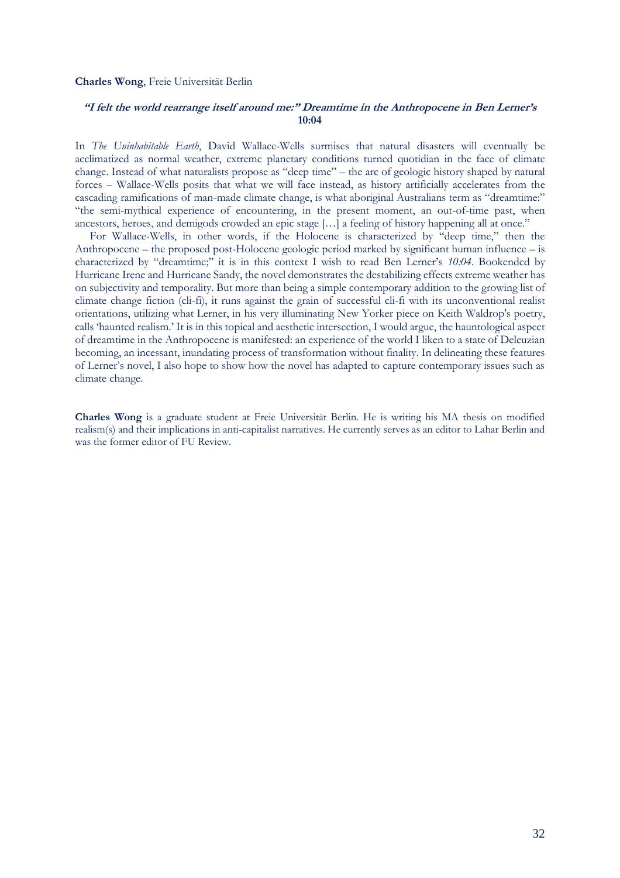#### <span id="page-33-0"></span>**Charles Wong**, Freie Universität Berlin

# **"I felt the world rearrange itself around me:" Dreamtime in the Anthropocene in Ben Lerner's 10:04**

In *The Uninhabitable Earth*, David Wallace-Wells surmises that natural disasters will eventually be acclimatized as normal weather, extreme planetary conditions turned quotidian in the face of climate change. Instead of what naturalists propose as "deep time" – the arc of geologic history shaped by natural forces – Wallace-Wells posits that what we will face instead, as history artificially accelerates from the cascading ramifications of man-made climate change, is what aboriginal Australians term as "dreamtime:" "the semi-mythical experience of encountering, in the present moment, an out-of-time past, when ancestors, heroes, and demigods crowded an epic stage […] a feeling of history happening all at once."

For Wallace-Wells, in other words, if the Holocene is characterized by "deep time," then the Anthropocene – the proposed post-Holocene geologic period marked by significant human influence – is characterized by "dreamtime;" it is in this context I wish to read Ben Lerner's *10:04*. Bookended by Hurricane Irene and Hurricane Sandy, the novel demonstrates the destabilizing effects extreme weather has on subjectivity and temporality. But more than being a simple contemporary addition to the growing list of climate change fiction (cli-fi), it runs against the grain of successful cli-fi with its unconventional realist orientations, utilizing what Lerner, in his very illuminating New Yorker piece on Keith Waldrop's poetry, calls 'haunted realism.' It is in this topical and aesthetic intersection, I would argue, the hauntological aspect of dreamtime in the Anthropocene is manifested: an experience of the world I liken to a state of Deleuzian becoming, an incessant, inundating process of transformation without finality. In delineating these features of Lerner's novel, I also hope to show how the novel has adapted to capture contemporary issues such as climate change.

**Charles Wong** is a graduate student at Freie Universität Berlin. He is writing his MA thesis on modified realism(s) and their implications in anti-capitalist narratives. He currently serves as an editor to Lahar Berlin and was the former editor of FU Review.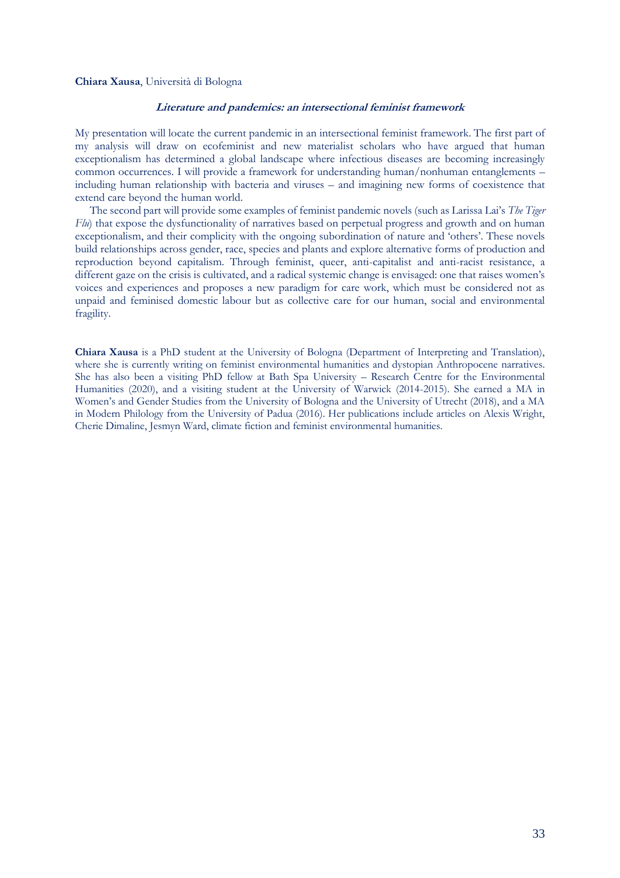#### <span id="page-34-0"></span>**Chiara Xausa**, Università di Bologna

# **Literature and pandemics: an intersectional feminist framework**

My presentation will locate the current pandemic in an intersectional feminist framework. The first part of my analysis will draw on ecofeminist and new materialist scholars who have argued that human exceptionalism has determined a global landscape where infectious diseases are becoming increasingly common occurrences. I will provide a framework for understanding human/nonhuman entanglements – including human relationship with bacteria and viruses – and imagining new forms of coexistence that extend care beyond the human world.

The second part will provide some examples of feminist pandemic novels (such as Larissa Lai's *The Tiger Flu*) that expose the dysfunctionality of narratives based on perpetual progress and growth and on human exceptionalism, and their complicity with the ongoing subordination of nature and 'others'. These novels build relationships across gender, race, species and plants and explore alternative forms of production and reproduction beyond capitalism. Through feminist, queer, anti-capitalist and anti-racist resistance, a different gaze on the crisis is cultivated, and a radical systemic change is envisaged: one that raises women's voices and experiences and proposes a new paradigm for care work, which must be considered not as unpaid and feminised domestic labour but as collective care for our human, social and environmental fragility.

**Chiara Xausa** is a PhD student at the University of Bologna (Department of Interpreting and Translation), where she is currently writing on feminist environmental humanities and dystopian Anthropocene narratives. She has also been a visiting PhD fellow at Bath Spa University – Research Centre for the Environmental Humanities (2020), and a visiting student at the University of Warwick (2014-2015). She earned a MA in Women's and Gender Studies from the University of Bologna and the University of Utrecht (2018), and a MA in Modern Philology from the University of Padua (2016). Her publications include articles on Alexis Wright, Cherie Dimaline, Jesmyn Ward, climate fiction and feminist environmental humanities.